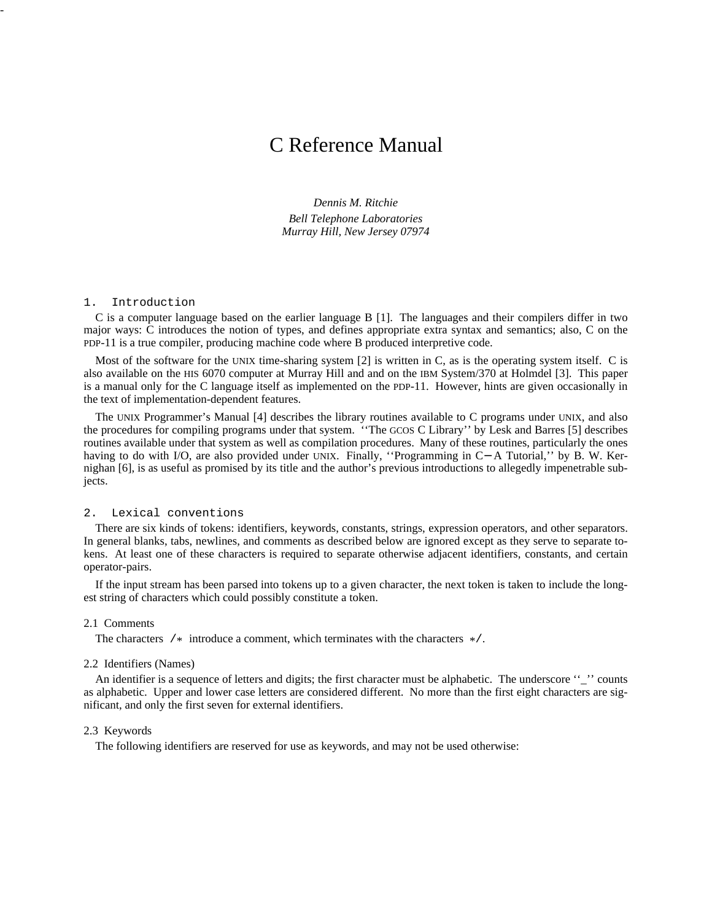# C Reference Manual

*Dennis M. Ritchie Bell Telephone Laboratories Murray Hill, New Jersey 07974*

#### 1. Introduction

-

C is a computer language based on the earlier language B [1]. The languages and their compilers differ in two major ways: C introduces the notion of types, and defines appropriate extra syntax and semantics; also, C on the PDP-11 is a true compiler, producing machine code where B produced interpretive code.

Most of the software for the UNIX time-sharing system [2] is written in C, as is the operating system itself. C is also available on the HIS 6070 computer at Murray Hill and and on the IBM System/370 at Holmdel [3]. This paper is a manual only for the C language itself as implemented on the PDP-11. However, hints are given occasionally in the text of implementation-dependent features.

The UNIX Programmer's Manual [4] describes the library routines available to C programs under UNIX, and also the procedures for compiling programs under that system. ''The GCOS C Library'' by Lesk and Barres [5] describes routines available under that system as well as compilation procedures. Many of these routines, particularly the ones having to do with I/O, are also provided under UNIX. Finally, ''Programming in C− A Tutorial,'' by B. W. Kernighan [6], is as useful as promised by its title and the author's previous introductions to allegedly impenetrable subjects.

## 2. Lexical conventions

There are six kinds of tokens: identifiers, keywords, constants, strings, expression operators, and other separators. In general blanks, tabs, newlines, and comments as described below are ignored except as they serve to separate tokens. At least one of these characters is required to separate otherwise adjacent identifiers, constants, and certain operator-pairs.

If the input stream has been parsed into tokens up to a given character, the next token is taken to include the longest string of characters which could possibly constitute a token.

#### 2.1 Comments

The characters  $\rightarrow$  introduce a comment, which terminates with the characters  $\ast$  .

#### 2.2 Identifiers (Names)

An identifier is a sequence of letters and digits; the first character must be alphabetic. The underscore " " counts as alphabetic. Upper and lower case letters are considered different. No more than the first eight characters are significant, and only the first seven for external identifiers.

## 2.3 Keywords

The following identifiers are reserved for use as keywords, and may not be used otherwise: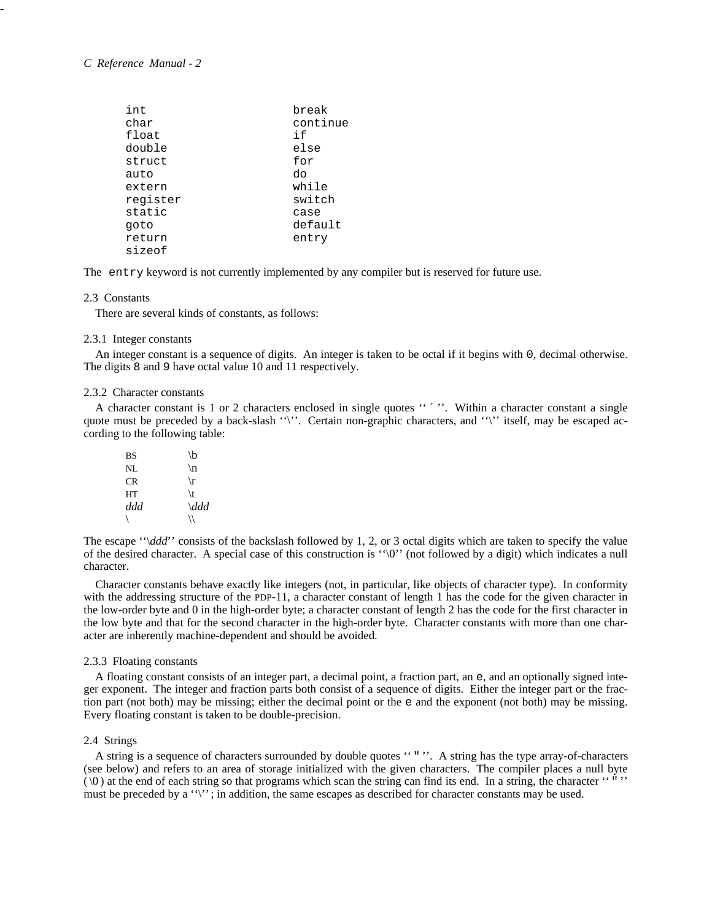#### *C Reference Manual - 2*

-

| int      | break    |
|----------|----------|
| char     | continue |
| float    | i f      |
| double   | else     |
| struct   | for      |
| auto     | do       |
| extern   | while    |
| register | switch   |
| static   | case     |
| goto     | default  |
| return   | entry    |
| sizeof   |          |

The entry keyword is not currently implemented by any compiler but is reserved for future use.

#### 2.3 Constants

There are several kinds of constants, as follows:

#### 2.3.1 Integer constants

An integer constant is a sequence of digits. An integer is taken to be octal if it begins with 0, decimal otherwise. The digits 8 and 9 have octal value 10 and 11 respectively.

#### 2.3.2 Character constants

A character constant is 1 or 2 characters enclosed in single quotes "'". Within a character constant a single quote must be preceded by a back-slash "\". Certain non-graphic characters, and "\" itself, may be escaped according to the following table:

| BS        | $\mathbf{b}$   |
|-----------|----------------|
| NL        | $\overline{n}$ |
| <b>CR</b> | $\sqrt{r}$     |
| <b>HT</b> | $\lambda$ t    |
| $\,ddd$   | $\delta$       |
|           |                |

The escape "\ddd" consists of the backslash followed by 1, 2, or 3 octal digits which are taken to specify the value of the desired character. A special case of this construction is ''\0'' (not followed by a digit) which indicates a null character.

Character constants behave exactly like integers (not, in particular, like objects of character type). In conformity with the addressing structure of the PDP-11, a character constant of length 1 has the code for the given character in the low-order byte and 0 in the high-order byte; a character constant of length 2 has the code for the first character in the low byte and that for the second character in the high-order byte. Character constants with more than one character are inherently machine-dependent and should be avoided.

#### 2.3.3 Floating constants

A floating constant consists of an integer part, a decimal point, a fraction part, an e, and an optionally signed integer exponent. The integer and fraction parts both consist of a sequence of digits. Either the integer part or the fraction part (not both) may be missing; either the decimal point or the e and the exponent (not both) may be missing. Every floating constant is taken to be double-precision.

## 2.4 Strings

A string is a sequence of characters surrounded by double quotes '' " ''. A string has the type array-of-characters (see below) and refers to an area of storage initialized with the given characters. The compiler places a null byte  $(\sqrt{0})$  at the end of each string so that programs which scan the string can find its end. In a string, the character "" must be preceded by a ''\''; in addition, the same escapes as described for character constants may be used.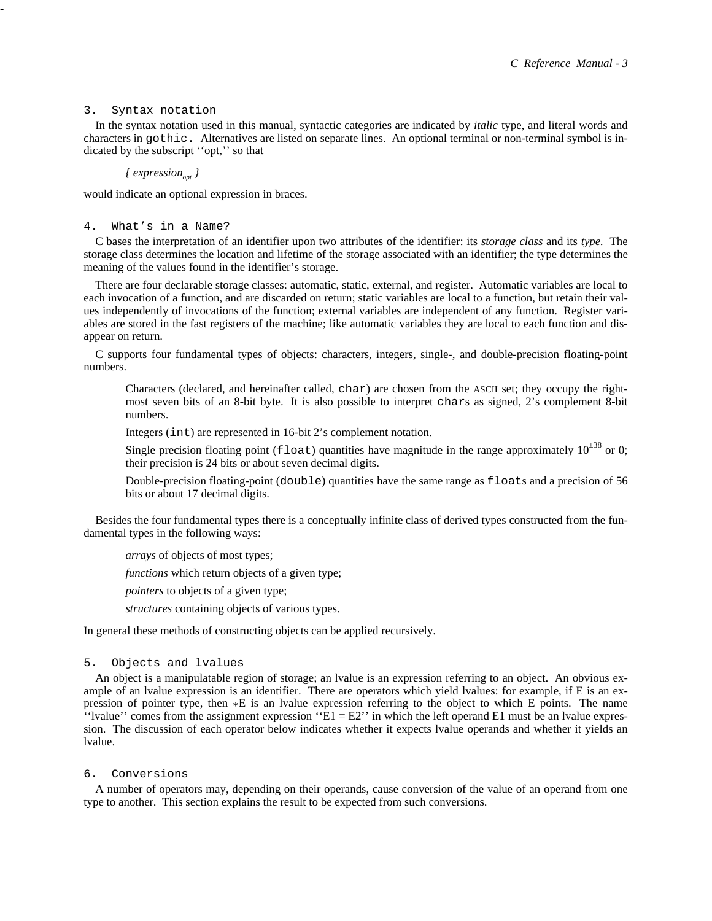## 3. Syntax notation

-

In the syntax notation used in this manual, syntactic categories are indicated by *italic* type, and literal words and characters in gothic. Alternatives are listed on separate lines. An optional terminal or non-terminal symbol is indicated by the subscript ''opt,'' so that

# *{ expressionopt }*

would indicate an optional expression in braces.

#### 4. What's in a Name?

C bases the interpretation of an identifier upon two attributes of the identifier: its *storage class* and its *type.* The storage class determines the location and lifetime of the storage associated with an identifier; the type determines the meaning of the values found in the identifier's storage.

There are four declarable storage classes: automatic, static, external, and register. Automatic variables are local to each invocation of a function, and are discarded on return; static variables are local to a function, but retain their values independently of invocations of the function; external variables are independent of any function. Register variables are stored in the fast registers of the machine; like automatic variables they are local to each function and disappear on return.

C supports four fundamental types of objects: characters, integers, single-, and double-precision floating-point numbers.

Characters (declared, and hereinafter called, char) are chosen from the ASCII set; they occupy the rightmost seven bits of an 8-bit byte. It is also possible to interpret chars as signed, 2's complement 8-bit numbers.

Integers (int) are represented in 16-bit 2's complement notation.

Single precision floating point (float) quantities have magnitude in the range approximately  $10^{\pm 38}$  or 0; their precision is 24 bits or about seven decimal digits.

Double-precision floating-point (double) quantities have the same range as floats and a precision of 56 bits or about 17 decimal digits.

Besides the four fundamental types there is a conceptually infinite class of derived types constructed from the fundamental types in the following ways:

*arrays* of objects of most types;

*functions* which return objects of a given type;

*pointers* to objects of a given type;

*structures* containing objects of various types.

In general these methods of constructing objects can be applied recursively.

#### 5. Objects and lvalues

An object is a manipulatable region of storage; an lvalue is an expression referring to an object. An obvious example of an lvalue expression is an identifier. There are operators which yield lvalues: for example, if E is an expression of pointer type, then \*E is an lvalue expression referring to the object to which E points. The name  $\cdot$ 'lvalue'' comes from the assignment expression  $\cdot$ E1 = E2'' in which the left operand E1 must be an lvalue expression. The discussion of each operator below indicates whether it expects lvalue operands and whether it yields an lvalue.

## 6. Conversions

A number of operators may, depending on their operands, cause conversion of the value of an operand from one type to another. This section explains the result to be expected from such conversions.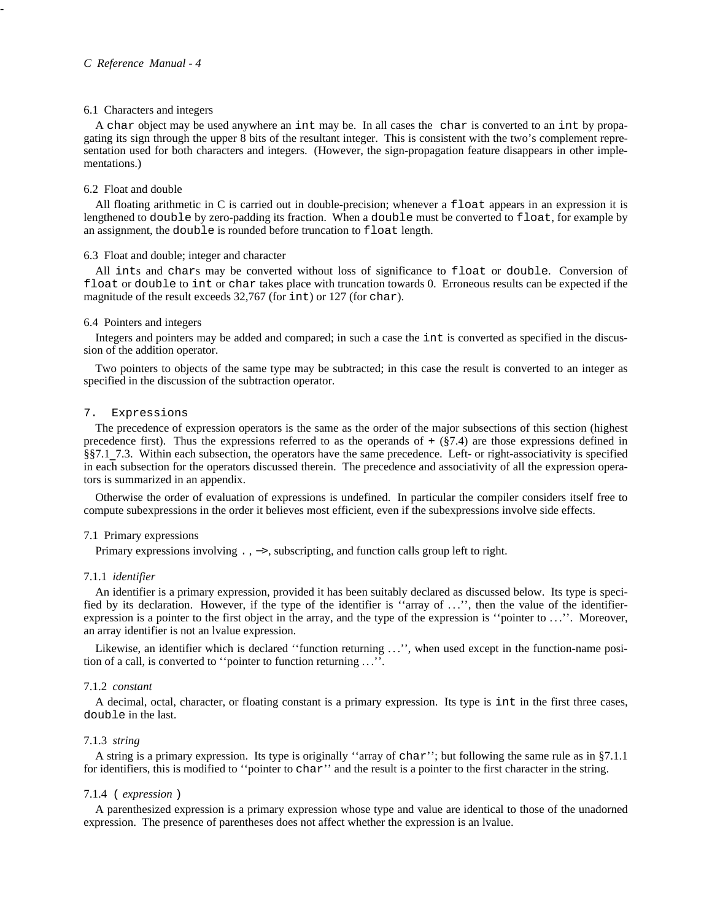## 6.1 Characters and integers

A char object may be used anywhere an int may be. In all cases the char is converted to an int by propagating its sign through the upper 8 bits of the resultant integer. This is consistent with the two's complement representation used for both characters and integers. (However, the sign-propagation feature disappears in other implementations.)

#### 6.2 Float and double

All floating arithmetic in C is carried out in double-precision; whenever a float appears in an expression it is lengthened to double by zero-padding its fraction. When a double must be converted to float, for example by an assignment, the double is rounded before truncation to float length.

## 6.3 Float and double; integer and character

All ints and chars may be converted without loss of significance to float or double. Conversion of float or double to int or char takes place with truncation towards 0. Erroneous results can be expected if the magnitude of the result exceeds 32,767 (for int) or 127 (for char).

#### 6.4 Pointers and integers

Integers and pointers may be added and compared; in such a case the int is converted as specified in the discussion of the addition operator.

Two pointers to objects of the same type may be subtracted; in this case the result is converted to an integer as specified in the discussion of the subtraction operator.

#### 7. Expressions

The precedence of expression operators is the same as the order of the major subsections of this section (highest precedence first). Thus the expressions referred to as the operands of  $+$  (§7.4) are those expressions defined in §§7.1–7.3. Within each subsection, the operators have the same precedence. Left- or right-associativity is specified in each subsection for the operators discussed therein. The precedence and associativity of all the expression operators is summarized in an appendix.

Otherwise the order of evaluation of expressions is undefined. In particular the compiler considers itself free to compute subexpressions in the order it believes most efficient, even if the subexpressions involve side effects.

## 7.1 Primary expressions

Primary expressions involving . , ->, subscripting, and function calls group left to right.

## 7.1.1 *identifier*

An identifier is a primary expression, provided it has been suitably declared as discussed below. Its type is specified by its declaration. However, if the type of the identifier is ''array of . . .'', then the value of the identifierexpression is a pointer to the first object in the array, and the type of the expression is ''pointer to . . .''. Moreover, an array identifier is not an lvalue expression.

Likewise, an identifier which is declared "function returning ...", when used except in the function-name position of a call, is converted to ''pointer to function returning . . .''.

#### 7.1.2 *constant*

A decimal, octal, character, or floating constant is a primary expression. Its type is int in the first three cases, double in the last.

## 7.1.3 *string*

A string is a primary expression. Its type is originally ''array of char''; but following the same rule as in §7.1.1 for identifiers, this is modified to ''pointer to char'' and the result is a pointer to the first character in the string.

# 7.1.4 ( *expression* )

A parenthesized expression is a primary expression whose type and value are identical to those of the unadorned expression. The presence of parentheses does not affect whether the expression is an lvalue.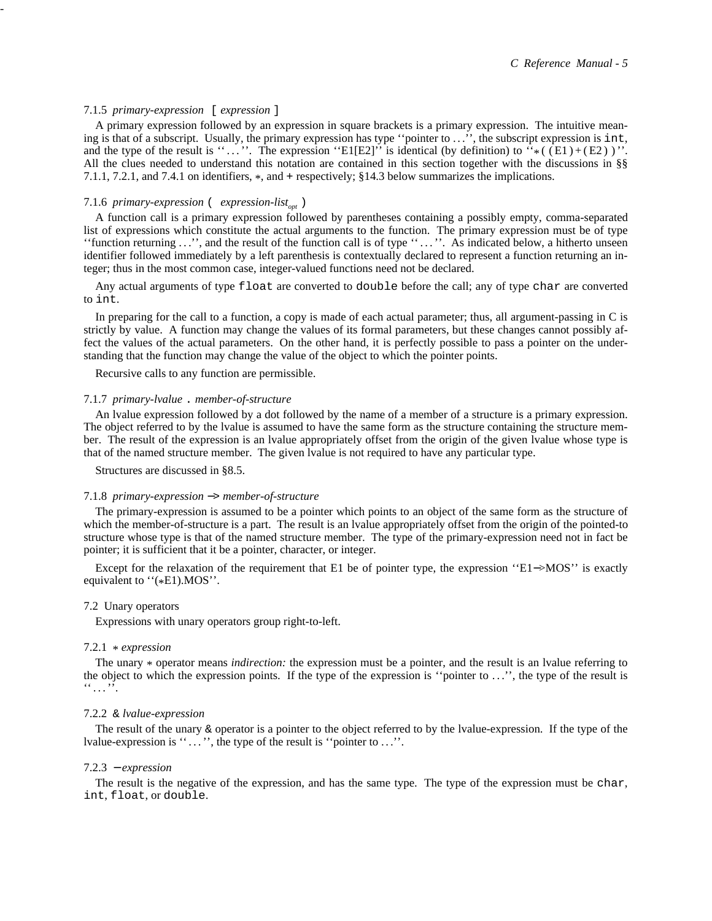#### 7.1.5 *primary-expression* [ *expression* ]

-

A primary expression followed by an expression in square brackets is a primary expression. The intuitive meaning is that of a subscript. Usually, the primary expression has type ''pointer to . . .'', the subscript expression is int, and the type of the result is "...". The expression "E1[E2]" is identical (by definition) to "\* ( $(E1) + (E2)$ )". All the clues needed to understand this notation are contained in this section together with the discussions in §§ 7.1.1, 7.2.1, and 7.4.1 on identifiers, \*, and + respectively; §14.3 below summarizes the implications.

## 7.1.6 *primary-expression* ( *expression-listopt* )

A function call is a primary expression followed by parentheses containing a possibly empty, comma-separated list of expressions which constitute the actual arguments to the function. The primary expression must be of type ''function returning ...'', and the result of the function call is of type ''...''. As indicated below, a hitherto unseen identifier followed immediately by a left parenthesis is contextually declared to represent a function returning an integer; thus in the most common case, integer-valued functions need not be declared.

Any actual arguments of type float are converted to double before the call; any of type char are converted to int.

In preparing for the call to a function, a copy is made of each actual parameter; thus, all argument-passing in C is strictly by value. A function may change the values of its formal parameters, but these changes cannot possibly affect the values of the actual parameters. On the other hand, it is perfectly possible to pass a pointer on the understanding that the function may change the value of the object to which the pointer points.

Recursive calls to any function are permissible.

#### 7.1.7 *primary-lvalue* . *member-of-structure*

An lvalue expression followed by a dot followed by the name of a member of a structure is a primary expression. The object referred to by the lvalue is assumed to have the same form as the structure containing the structure member. The result of the expression is an lvalue appropriately offset from the origin of the given lvalue whose type is that of the named structure member. The given lvalue is not required to have any particular type.

Structures are discussed in §8.5.

#### 7.1.8 *primary-expression* −> *member-of-structure*

The primary-expression is assumed to be a pointer which points to an object of the same form as the structure of which the member-of-structure is a part. The result is an lvalue appropriately offset from the origin of the pointed-to structure whose type is that of the named structure member. The type of the primary-expression need not in fact be pointer; it is sufficient that it be a pointer, character, or integer.

Except for the relaxation of the requirement that E1 be of pointer type, the expression ''E1−>MOS'' is exactly equivalent to ''(\*E1).MOS''.

#### 7.2 Unary operators

Expressions with unary operators group right-to-left.

#### 7.2.1 \* *expression*

The unary \* operator means *indirection:* the expression must be a pointer, and the result is an lvalue referring to the object to which the expression points. If the type of the expression is ''pointer to . . .'', the type of the result is  $\cdots$   $\cdots$ 

#### 7.2.2 & *lvalue-expression*

The result of the unary  $\&$  operator is a pointer to the object referred to by the lvalue-expression. If the type of the lvalue-expression is ''. . .'', the type of the result is ''pointer to . . .''.

#### 7.2.3 − *expression*

The result is the negative of the expression, and has the same type. The type of the expression must be char, int, float, or double.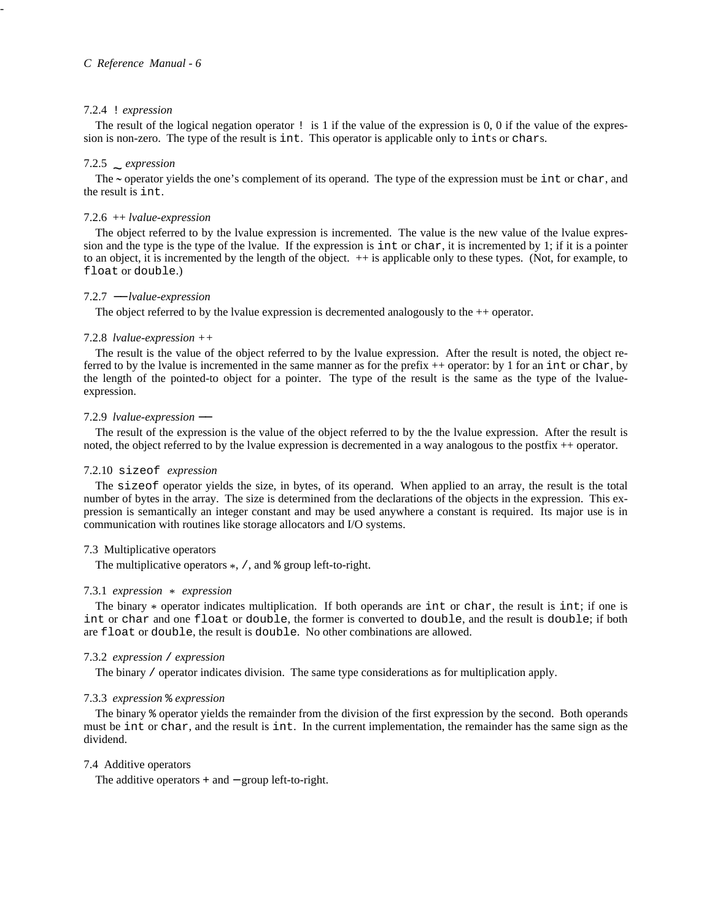## 7.2.4 ! *expression*

-

The result of the logical negation operator ! is 1 if the value of the expression is 0, 0 if the value of the expression is non-zero. The type of the result is int. This operator is applicable only to ints or chars.

# $7.2.5 \sim$  *expression*

The  $\sim$  operator yields the one's complement of its operand. The type of the expression must be int or char, and<br>a result is int the result is int.

## 7.2.6 ++ *lvalue-expression*

The object referred to by the lvalue expression is incremented. The value is the new value of the lvalue expression and the type is the type of the lvalue. If the expression is int or char, it is incremented by 1; if it is a pointer to an object, it is incremented by the length of the object. ++ is applicable only to these types. (Not, for example, to float or double.)

## 7.2.7 −− *lvalue-expression*

The object referred to by the lvalue expression is decremented analogously to the ++ operator.

## 7.2.8 *lvalue-expression ++*

The result is the value of the object referred to by the lvalue expression. After the result is noted, the object referred to by the lvalue is incremented in the same manner as for the prefix  $++$  operator: by 1 for an int or char, by the length of the pointed-to object for a pointer. The type of the result is the same as the type of the lvalueexpression.

## 7.2.9 *lvalue-expression* −−

The result of the expression is the value of the object referred to by the the lvalue expression. After the result is noted, the object referred to by the lvalue expression is decremented in a way analogous to the postfix ++ operator.

# 7.2.10 sizeof *expression*

The sizeof operator yields the size, in bytes, of its operand. When applied to an array, the result is the total number of bytes in the array. The size is determined from the declarations of the objects in the expression. This expression is semantically an integer constant and may be used anywhere a constant is required. Its major use is in communication with routines like storage allocators and I/O systems.

# 7.3 Multiplicative operators

The multiplicative operators \*, /, and % group left-to-right.

# 7.3.1 *expression* \* *expression*

The binary \* operator indicates multiplication. If both operands are int or char, the result is int; if one is int or char and one float or double, the former is converted to double, and the result is double; if both are float or double, the result is double. No other combinations are allowed.

# 7.3.2 *expression* / *expression*

The binary / operator indicates division. The same type considerations as for multiplication apply.

#### 7.3.3 *expression* % *expression*

The binary % operator yields the remainder from the division of the first expression by the second. Both operands must be int or char, and the result is int. In the current implementation, the remainder has the same sign as the dividend.

# 7.4 Additive operators

The additive operators + and − group left-to-right.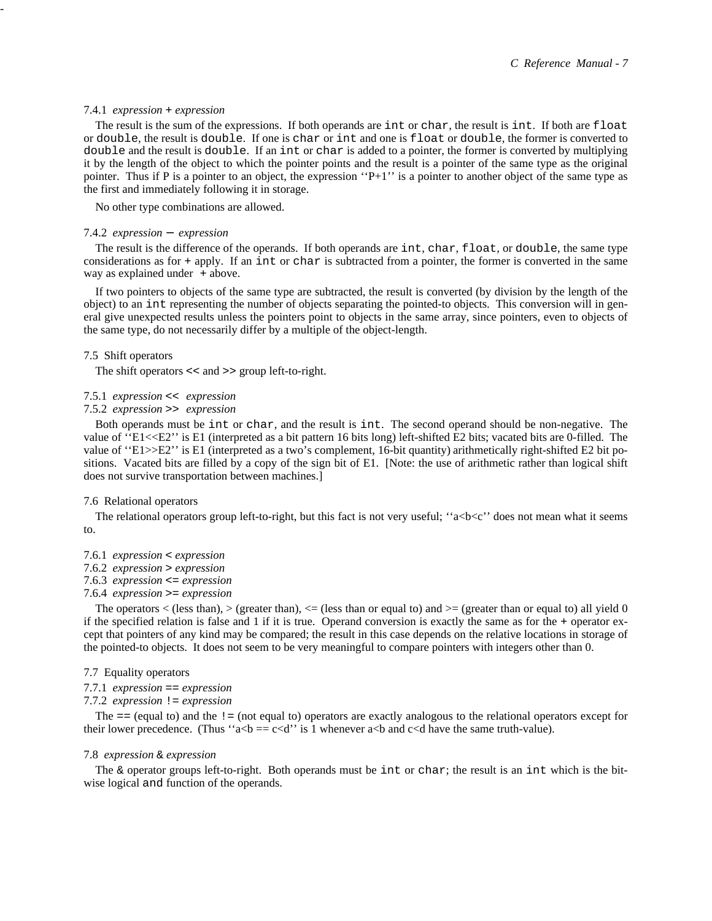#### 7.4.1 *expression* + *expression*

-

The result is the sum of the expressions. If both operands are int or char, the result is int. If both are float or double, the result is double. If one is char or int and one is float or double, the former is converted to double and the result is double. If an int or char is added to a pointer, the former is converted by multiplying it by the length of the object to which the pointer points and the result is a pointer of the same type as the original pointer. Thus if P is a pointer to an object, the expression  $P+1$ " is a pointer to another object of the same type as the first and immediately following it in storage.

No other type combinations are allowed.

#### 7.4.2 *expression* − *expression*

The result is the difference of the operands. If both operands are int, char, float, or double, the same type considerations as for + apply. If an int or char is subtracted from a pointer, the former is converted in the same way as explained under  $+$  above.

If two pointers to objects of the same type are subtracted, the result is converted (by division by the length of the object) to an int representing the number of objects separating the pointed-to objects. This conversion will in general give unexpected results unless the pointers point to objects in the same array, since pointers, even to objects of the same type, do not necessarily differ by a multiple of the object-length.

## 7.5 Shift operators

The shift operators << and >> group left-to-right.

## 7.5.1 *expression* << *expression*

# 7.5.2 *expression* >> *expression*

Both operands must be int or char, and the result is int. The second operand should be non-negative. The value of ''E1<<E2'' is E1 (interpreted as a bit pattern 16 bits long) left-shifted E2 bits; vacated bits are 0-filled. The value of "E1>>E2" is E1 (interpreted as a two's complement, 16-bit quantity) arithmetically right-shifted E2 bit positions. Vacated bits are filled by a copy of the sign bit of E1. [Note: the use of arithmetic rather than logical shift does not survive transportation between machines.]

## 7.6 Relational operators

The relational operators group left-to-right, but this fact is not very useful; "a<br/>b<c'' does not mean what it seems to.

- 7.6.1 *expression* < *expression*
- 7.6.2 *expression* > *expression*
- 7.6.3 *expression* <= *expression*
- 7.6.4 *expression* >= *expression*

The operators  $\lt$  (less than),  $\gt$  (greater than),  $\lt$  (less than or equal to) and  $\gt$  (greater than or equal to) all yield 0 if the specified relation is false and 1 if it is true. Operand conversion is exactly the same as for the  $+$  operator except that pointers of any kind may be compared; the result in this case depends on the relative locations in storage of the pointed-to objects. It does not seem to be very meaningful to compare pointers with integers other than 0.

#### 7.7 Equality operators

```
7.7.1 expression == expression
```

```
7.7.2 expression != expression
```
The == (equal to) and the != (not equal to) operators are exactly analogous to the relational operators except for their lower precedence. (Thus " $a < b = c < d$ " is 1 whenever  $a < b$  and  $c < d$  have the same truth-value).

#### 7.8 *expression* & *expression*

The & operator groups left-to-right. Both operands must be int or char; the result is an int which is the bitwise logical and function of the operands.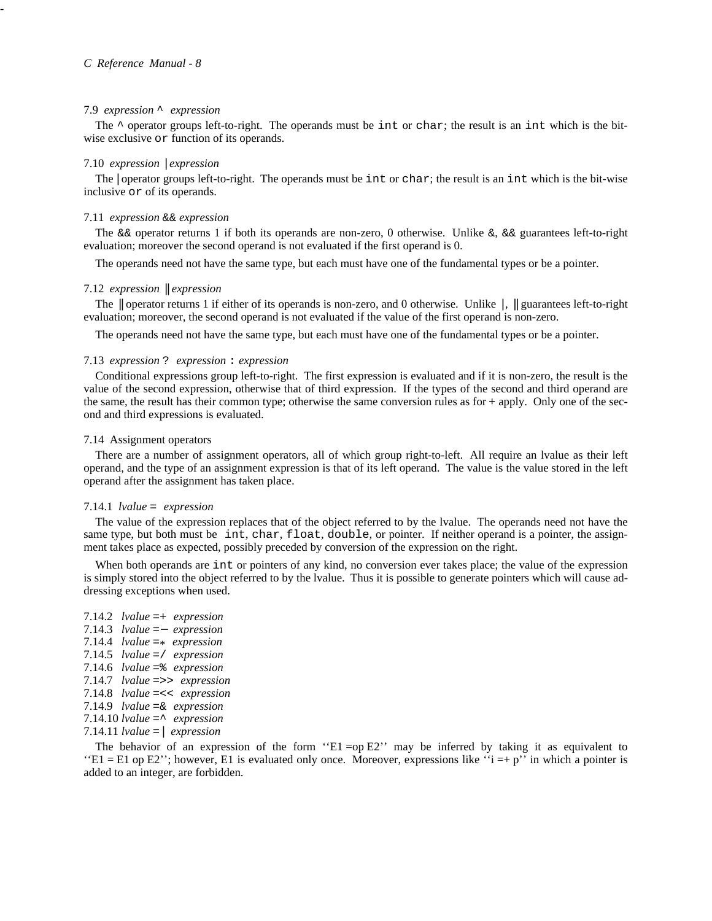#### 7.9 *expression* ^ *expression*

The  $\sim$  operator groups left-to-right. The operands must be int or char; the result is an int which is the bitwise exclusive or function of its operands.

## 7.10 *expression* | *expression*

The | operator groups left-to-right. The operands must be int or char; the result is an int which is the bit-wise inclusive or of its operands.

## 7.11 *expression* && *expression*

The  $\&\&\&\;$  operator returns 1 if both its operands are non-zero, 0 otherwise. Unlike  $\&\&\&\;$  guarantees left-to-right evaluation; moreover the second operand is not evaluated if the first operand is 0.

The operands need not have the same type, but each must have one of the fundamental types or be a pointer.

### 7.12 *expression* || *expression*

The || operator returns 1 if either of its operands is non-zero, and 0 otherwise. Unlike | , || guarantees left-to-right evaluation; moreover, the second operand is not evaluated if the value of the first operand is non-zero.

The operands need not have the same type, but each must have one of the fundamental types or be a pointer.

## 7.13 *expression* ? *expression* : *expression*

Conditional expressions group left-to-right. The first expression is evaluated and if it is non-zero, the result is the value of the second expression, otherwise that of third expression. If the types of the second and third operand are the same, the result has their common type; otherwise the same conversion rules as for + apply. Only one of the second and third expressions is evaluated.

## 7.14 Assignment operators

There are a number of assignment operators, all of which group right-to-left. All require an lvalue as their left operand, and the type of an assignment expression is that of its left operand. The value is the value stored in the left operand after the assignment has taken place.

#### 7.14.1 *lvalue* = *expression*

The value of the expression replaces that of the object referred to by the lvalue. The operands need not have the same type, but both must be int, char, float, double, or pointer. If neither operand is a pointer, the assignment takes place as expected, possibly preceded by conversion of the expression on the right.

When both operands are int or pointers of any kind, no conversion ever takes place; the value of the expression is simply stored into the object referred to by the lvalue. Thus it is possible to generate pointers which will cause addressing exceptions when used.

7.14.2 *lvalue* =+ *expression* 7.14.3 *lvalue* =− *expression* 7.14.4 *lvalue* =\* *expression* 7.14.5 *lvalue* =/ *expression* 7.14.6 *lvalue* =% *expression* 7.14.7 *lvalue* =>> *expression* 7.14.8 *lvalue* =<< *expression* 7.14.9 *lvalue* =& *expression* 7.14.10 *lvalue* =^ *expression* 7.14.11 *lvalue* = | *expression*

The behavior of an expression of the form "E1 = op E2" may be inferred by taking it as equivalent to  $E = E1$  op E2''; however, E1 is evaluated only once. Moreover, expressions like  $E_i = p_i$  in which a pointer is added to an integer, are forbidden.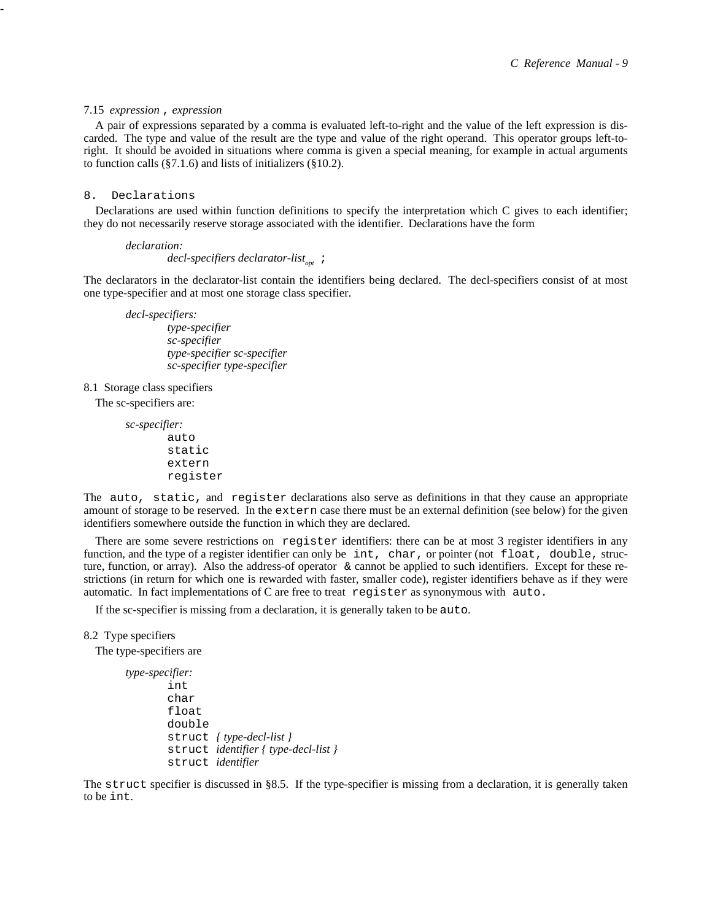### 7.15 *expression* , *expression*

-

A pair of expressions separated by a comma is evaluated left-to-right and the value of the left expression is discarded. The type and value of the result are the type and value of the right operand. This operator groups left-toright. It should be avoided in situations where comma is given a special meaning, for example in actual arguments to function calls (§7.1.6) and lists of initializers (§10.2).

#### 8. Declarations

Declarations are used within function definitions to specify the interpretation which C gives to each identifier; they do not necessarily reserve storage associated with the identifier. Declarations have the form

*declaration:*

*decl-specifiers declarator-listopt* ;

The declarators in the declarator-list contain the identifiers being declared. The decl-specifiers consist of at most one type-specifier and at most one storage class specifier.

#### *decl-specifiers:*

*type-specifier sc-specifier type-specifier sc-specifier sc-specifier type-specifier*

8.1 Storage class specifiers

The sc-specifiers are:

*sc-specifier:*

auto static extern register

The auto, static, and register declarations also serve as definitions in that they cause an appropriate amount of storage to be reserved. In the extern case there must be an external definition (see below) for the given identifiers somewhere outside the function in which they are declared.

There are some severe restrictions on register identifiers: there can be at most 3 register identifiers in any function, and the type of a register identifier can only be int, char, or pointer (not float, double, structure, function, or array). Also the address-of operator  $\&$  cannot be applied to such identifiers. Except for these restrictions (in return for which one is rewarded with faster, smaller code), register identifiers behave as if they were automatic. In fact implementations of C are free to treat register as synonymous with auto.

If the sc-specifier is missing from a declaration, it is generally taken to be auto.

8.2 Type specifiers

The type-specifiers are

*type-specifier:* int char float double struct *{ type-decl-list }* struct *identifier { type-decl-list }* struct *identifier*

The struct specifier is discussed in §8.5. If the type-specifier is missing from a declaration, it is generally taken to be int.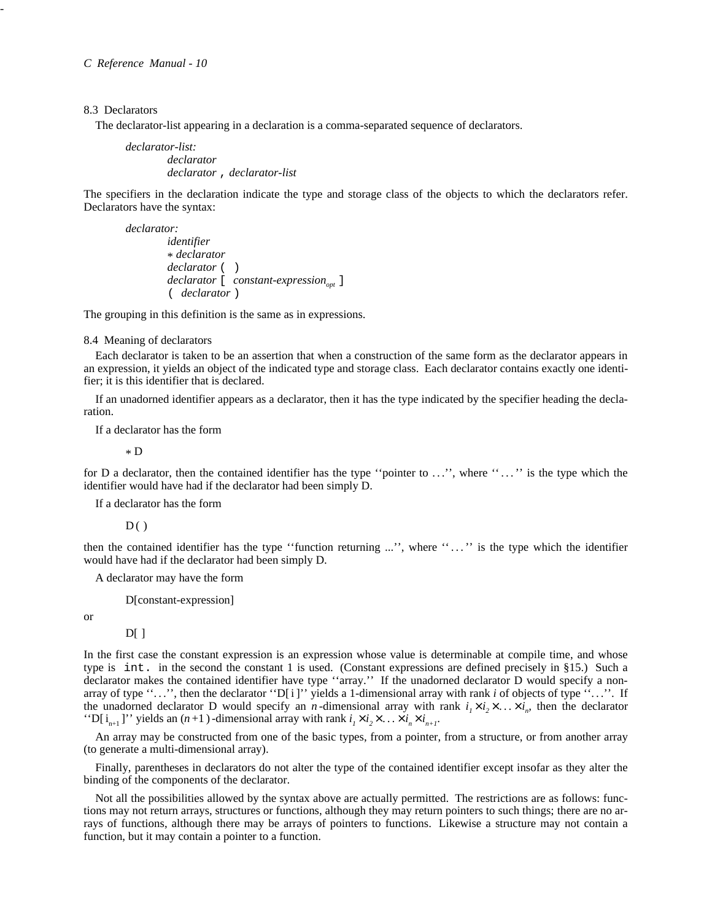### 8.3 Declarators

-

The declarator-list appearing in a declaration is a comma-separated sequence of declarators.

*declarator-list: declarator declarator* , *declarator-list*

The specifiers in the declaration indicate the type and storage class of the objects to which the declarators refer. Declarators have the syntax:

*declarator:*

*identifier* \* *declarator declarator* ( ) *declarator* [ *constant-expressionopt* ] ( *declarator* )

The grouping in this definition is the same as in expressions.

#### 8.4 Meaning of declarators

Each declarator is taken to be an assertion that when a construction of the same form as the declarator appears in an expression, it yields an object of the indicated type and storage class. Each declarator contains exactly one identifier; it is this identifier that is declared.

If an unadorned identifier appears as a declarator, then it has the type indicated by the specifier heading the declaration.

If a declarator has the form

\* D

for D a declarator, then the contained identifier has the type ''pointer to . . .'', where ''. . .'' is the type which the identifier would have had if the declarator had been simply D.

If a declarator has the form

 $D()$ 

then the contained identifier has the type ''function returning ...'', where ''. . .'' is the type which the identifier would have had if the declarator had been simply D.

A declarator may have the form

D[constant-expression]

or

 $DI<sub>1</sub>$ 

In the first case the constant expression is an expression whose value is determinable at compile time, and whose type is int. in the second the constant 1 is used. (Constant expressions are defined precisely in §15.) Such a declarator makes the contained identifier have type ''array.'' If the unadorned declarator D would specify a nonarray of type ''. . .'', then the declarator ''D[i]'' yields a 1-dimensional array with rank *i* of objects of type ''. . .''. If the unadorned declarator D would specify an *n*-dimensional array with rank  $i_1 \times i_2 \times \ldots \times i_n$ , then the declarator "D[ $i_{n+1}$ ]" yields an  $(n+1)$ -dimensional array with rank  $i_1 \times i_2 \times \ldots \times i_n \times i_{n+1}$ "

An array may be constructed from one of the basic types, from a pointer, from a structure, or from another array (to generate a multi-dimensional array).

Finally, parentheses in declarators do not alter the type of the contained identifier except insofar as they alter the binding of the components of the declarator.

Not all the possibilities allowed by the syntax above are actually permitted. The restrictions are as follows: functions may not return arrays, structures or functions, although they may return pointers to such things; there are no arrays of functions, although there may be arrays of pointers to functions. Likewise a structure may not contain a function, but it may contain a pointer to a function.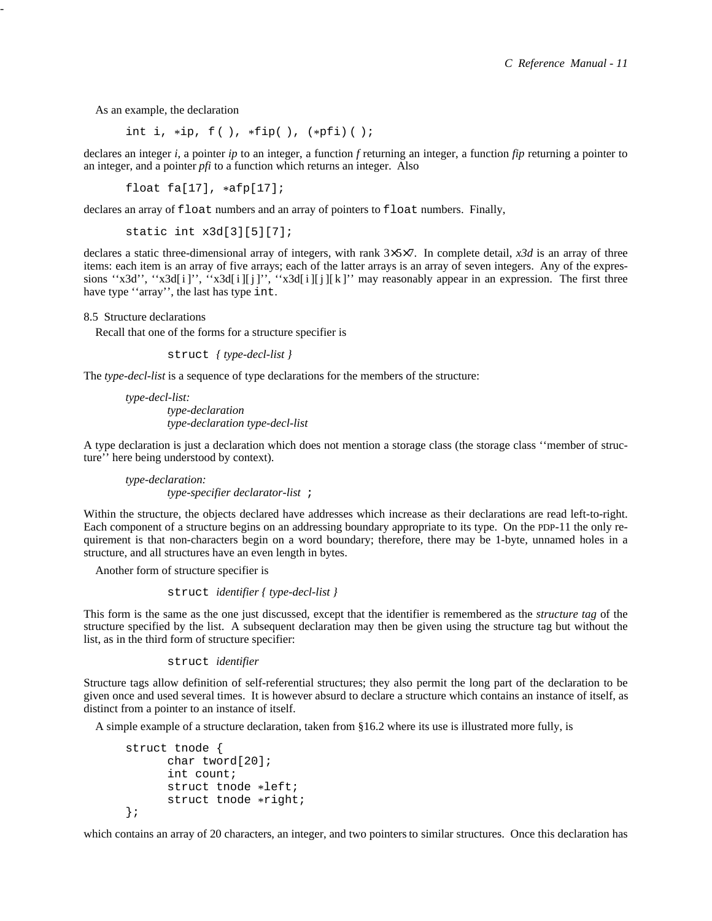As an example, the declaration

-

int i,  $*ip, f()$ ,  $*fip()$ ,  $(*pfi)()$ ;

declares an integer *i*, a pointer *ip* to an integer, a function *f* returning an integer, a function *fip* returning a pointer to an integer, and a pointer *pfi* to a function which returns an integer. Also

float  $fa[17]$ ,  $*afp[17]$ ;

declares an array of float numbers and an array of pointers to float numbers. Finally,

static int x3d[3][5][7];

declares a static three-dimensional array of integers, with rank 3×5×7. In complete detail, *x3d* is an array of three items: each item is an array of five arrays; each of the latter arrays is an array of seven integers. Any of the expressions "x3d'', "x3d[i]'', "x3d[i][j]'', "x3d[i][j][k]'' may reasonably appear in an expression. The first three have type ''array'', the last has type int.

8.5 Structure declarations

Recall that one of the forms for a structure specifier is

struct *{ type-decl-list }*

The *type-decl-list* is a sequence of type declarations for the members of the structure:

*type-decl-list: type-declaration type-declaration type-decl-list*

A type declaration is just a declaration which does not mention a storage class (the storage class ''member of structure'' here being understood by context).

*type-declaration: type-specifier declarator-list* ;

Within the structure, the objects declared have addresses which increase as their declarations are read left-to-right. Each component of a structure begins on an addressing boundary appropriate to its type. On the PDP-11 the only requirement is that non-characters begin on a word boundary; therefore, there may be 1-byte, unnamed holes in a structure, and all structures have an even length in bytes.

Another form of structure specifier is

struct *identifier { type-decl-list }*

This form is the same as the one just discussed, except that the identifier is remembered as the *structure tag* of the structure specified by the list. A subsequent declaration may then be given using the structure tag but without the list, as in the third form of structure specifier:

struct *identifier*

Structure tags allow definition of self-referential structures; they also permit the long part of the declaration to be given once and used several times. It is however absurd to declare a structure which contains an instance of itself, as distinct from a pointer to an instance of itself.

A simple example of a structure declaration, taken from §16.2 where its use is illustrated more fully, is

```
struct tnode {
      char tword[20];
      int count;
      struct tnode *left;
      struct tnode *right;
};
```
which contains an array of 20 characters, an integer, and two pointers to similar structures. Once this declaration has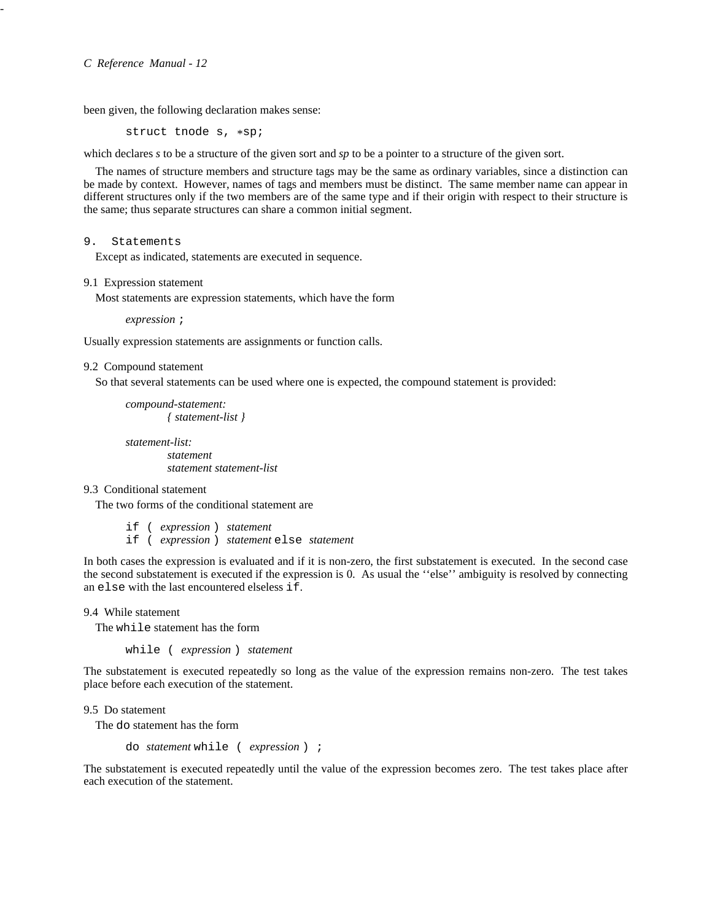been given, the following declaration makes sense:

struct tnode s, \*sp;

which declares *s* to be a structure of the given sort and *sp* to be a pointer to a structure of the given sort.

The names of structure members and structure tags may be the same as ordinary variables, since a distinction can be made by context. However, names of tags and members must be distinct. The same member name can appear in different structures only if the two members are of the same type and if their origin with respect to their structure is the same; thus separate structures can share a common initial segment.

9. Statements

Except as indicated, statements are executed in sequence.

9.1 Expression statement

Most statements are expression statements, which have the form

*expression* ;

Usually expression statements are assignments or function calls.

#### 9.2 Compound statement

So that several statements can be used where one is expected, the compound statement is provided:

```
compound-statement:
        { statement-list }
```
*statement-list: statement statement statement-list*

9.3 Conditional statement

The two forms of the conditional statement are

if ( *expression* ) *statement* if ( *expression* ) *statement* else *statement*

In both cases the expression is evaluated and if it is non-zero, the first substatement is executed. In the second case the second substatement is executed if the expression is 0. As usual the ''else'' ambiguity is resolved by connecting an else with the last encountered elseless if.

9.4 While statement

The while statement has the form

while ( *expression* ) *statement*

The substatement is executed repeatedly so long as the value of the expression remains non-zero. The test takes place before each execution of the statement.

9.5 Do statement

The do statement has the form

do *statement* while ( *expression* ) ;

The substatement is executed repeatedly until the value of the expression becomes zero. The test takes place after each execution of the statement.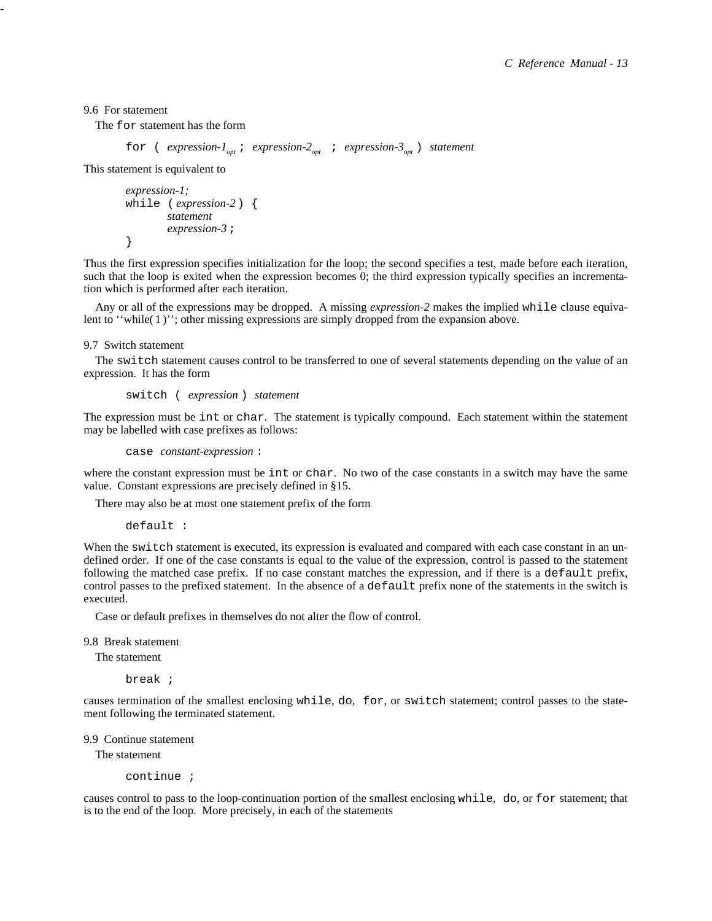9.6 For statement

-

The for statement has the form

for ( *expression-1*<sub>*opt</sub> i expression-2*<sub>*opt</sub> i expression-3*<sub>*opt</sub>* ) *statement*</sub></sub></sub>

This statement is equivalent to

```
expression-1;
while ( expression-2 ) {
        statement
        expression-3;
}
```
Thus the first expression specifies initialization for the loop; the second specifies a test, made before each iteration, such that the loop is exited when the expression becomes 0; the third expression typically specifies an incrementation which is performed after each iteration.

Any or all of the expressions may be dropped. A missing *expression-2* makes the implied while clause equivalent to "while(1)"; other missing expressions are simply dropped from the expansion above.

9.7 Switch statement

The switch statement causes control to be transferred to one of several statements depending on the value of an expression. It has the form

switch ( *expression* ) *statement*

The expression must be int or char. The statement is typically compound. Each statement within the statement may be labelled with case prefixes as follows:

case *constant-expression* :

where the constant expression must be int or char. No two of the case constants in a switch may have the same value. Constant expressions are precisely defined in §15.

There may also be at most one statement prefix of the form

default :

When the switch statement is executed, its expression is evaluated and compared with each case constant in an undefined order. If one of the case constants is equal to the value of the expression, control is passed to the statement following the matched case prefix. If no case constant matches the expression, and if there is a default prefix, control passes to the prefixed statement. In the absence of a default prefix none of the statements in the switch is executed.

Case or default prefixes in themselves do not alter the flow of control.

## 9.8 Break statement

The statement

break ;

causes termination of the smallest enclosing while, do, for, or switch statement; control passes to the statement following the terminated statement.

9.9 Continue statement

The statement

continue ;

causes control to pass to the loop-continuation portion of the smallest enclosing while, do, or for statement; that is to the end of the loop. More precisely, in each of the statements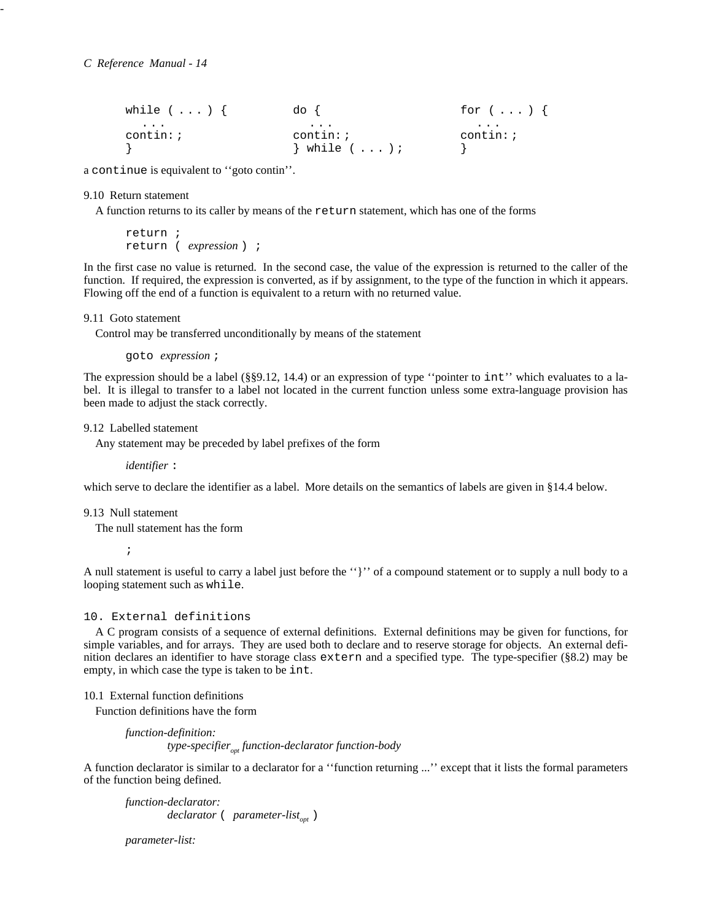| while $( \ldots )$ { | do {                      | for $(\ldots)$ { |
|----------------------|---------------------------|------------------|
| $\cdots$             | $\cdots$                  | $\cdots$         |
| $contin:$ ;          | contin:                   | $contin:$ ;      |
|                      | $\}$ while $( \ldots )$ ; |                  |

a continue is equivalent to ''goto contin''.

#### 9.10 Return statement

A function returns to its caller by means of the return statement, which has one of the forms

```
return ;
return ( expression ) ;
```
In the first case no value is returned. In the second case, the value of the expression is returned to the caller of the function. If required, the expression is converted, as if by assignment, to the type of the function in which it appears. Flowing off the end of a function is equivalent to a return with no returned value.

9.11 Goto statement

Control may be transferred unconditionally by means of the statement

goto *expression* ;

The expression should be a label (§§9.12, 14.4) or an expression of type ''pointer to int'' which evaluates to a label. It is illegal to transfer to a label not located in the current function unless some extra-language provision has been made to adjust the stack correctly.

9.12 Labelled statement

Any statement may be preceded by label prefixes of the form

*identifier* :

which serve to declare the identifier as a label. More details on the semantics of labels are given in §14.4 below.

### 9.13 Null statement

The null statement has the form

;

A null statement is useful to carry a label just before the ''}'' of a compound statement or to supply a null body to a looping statement such as while.

10. External definitions

A C program consists of a sequence of external definitions. External definitions may be given for functions, for simple variables, and for arrays. They are used both to declare and to reserve storage for objects. An external definition declares an identifier to have storage class extern and a specified type. The type-specifier (§8.2) may be empty, in which case the type is taken to be int.

10.1 External function definitions

Function definitions have the form

*function-definition: type-specifieropt function-declarator function-body*

A function declarator is similar to a declarator for a ''function returning ...'' except that it lists the formal parameters of the function being defined.

```
function-declarator:
         declarator ( parameter-listopt )
```
*parameter-list:*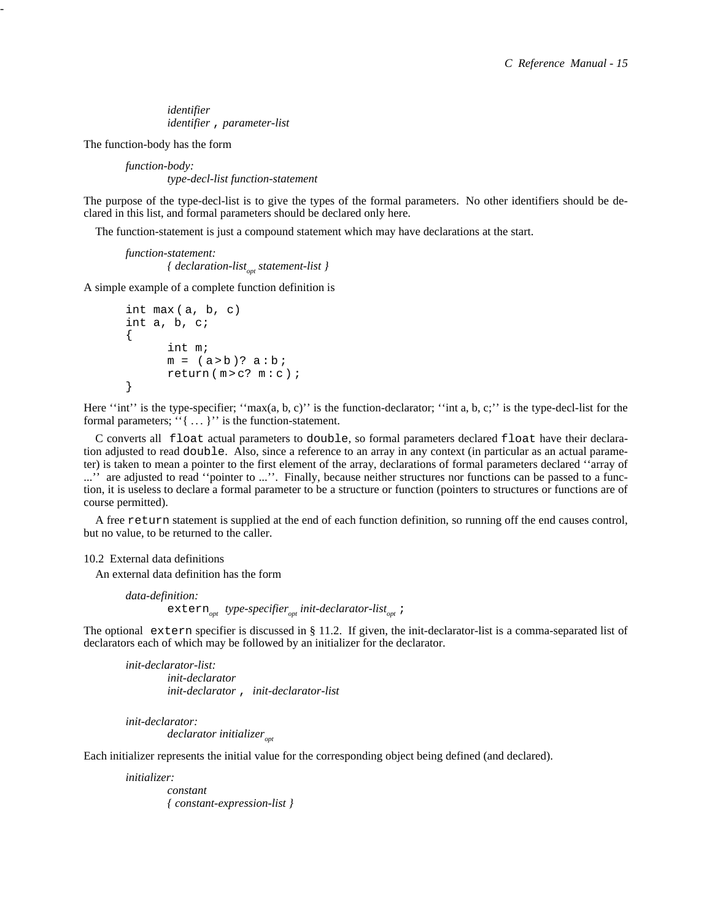*identifier identifier* , *parameter-list*

The function-body has the form

*-*

*function-body: type-decl-list function-statement*

The purpose of the type-decl-list is to give the types of the formal parameters. No other identifiers should be declared in this list, and formal parameters should be declared only here.

The function-statement is just a compound statement which may have declarations at the start.

*function-statement: { declaration-listopt statement-list }*

A simple example of a complete function definition is

```
int max(a, b, c)int a, b, c;
{
      int m;
      m = (a > b)? a : b;
      return(m > c? m : c) ;
}
```
Here "int" is the type-specifier; " $max(a, b, c)$ " is the function-declarator; "int a, b, c;" is the type-decl-list for the formal parameters; "{ ... }" is the function-statement.

C converts all float actual parameters to double, so formal parameters declared float have their declaration adjusted to read double. Also, since a reference to an array in any context (in particular as an actual parameter) is taken to mean a pointer to the first element of the array, declarations of formal parameters declared ''array of ..." are adjusted to read "pointer to ...". Finally, because neither structures nor functions can be passed to a function, it is useless to declare a formal parameter to be a structure or function (pointers to structures or functions are of course permitted).

A free return statement is supplied at the end of each function definition, so running off the end causes control, but no value, to be returned to the caller.

10.2 External data definitions

An external data definition has the form

*data-definition:* extern*opt type-specifieropt init-declarator-listopt* ;

The optional extern specifier is discussed in § 11.2. If given, the init-declarator-list is a comma-separated list of declarators each of which may be followed by an initializer for the declarator.

*init-declarator-list: init-declarator init-declarator* , *init-declarator-list*

*init-declarator:*

*declarator initializeropt*

Each initializer represents the initial value for the corresponding object being defined (and declared).

*initializer: constant { constant-expression-list }*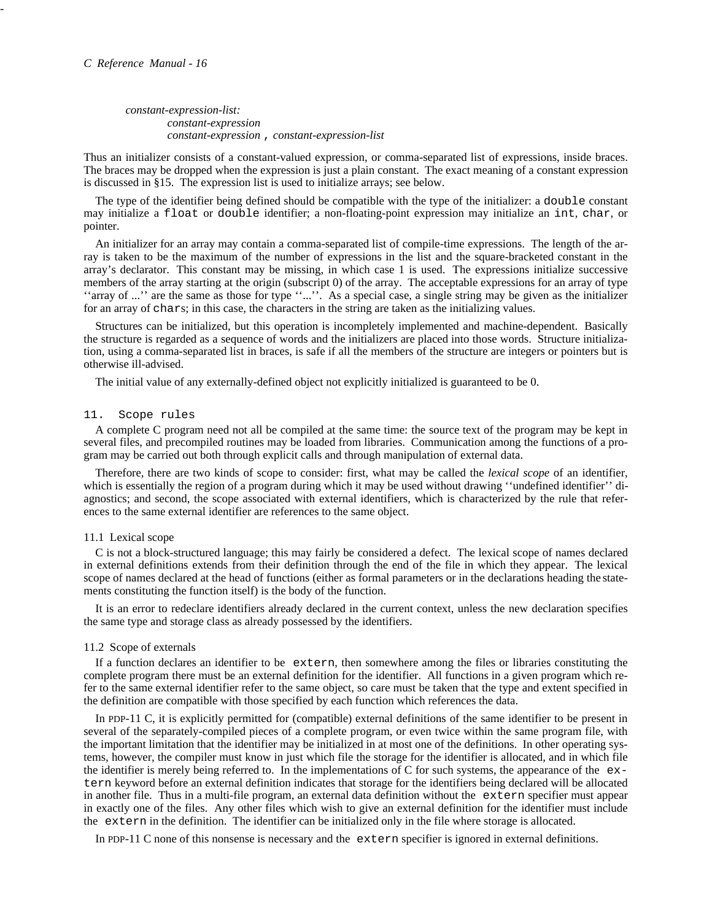*constant-expression-list: constant-expression constant-expression* , *constant-expression-list*

Thus an initializer consists of a constant-valued expression, or comma-separated list of expressions, inside braces. The braces may be dropped when the expression is just a plain constant. The exact meaning of a constant expression is discussed in §15. The expression list is used to initialize arrays; see below.

The type of the identifier being defined should be compatible with the type of the initializer: a double constant may initialize a float or double identifier; a non-floating-point expression may initialize an int, char, or pointer.

An initializer for an array may contain a comma-separated list of compile-time expressions. The length of the array is taken to be the maximum of the number of expressions in the list and the square-bracketed constant in the array's declarator. This constant may be missing, in which case 1 is used. The expressions initialize successive members of the array starting at the origin (subscript 0) of the array. The acceptable expressions for an array of type ''array of ...'' are the same as those for type ''...''. As a special case, a single string may be given as the initializer for an array of chars; in this case, the characters in the string are taken as the initializing values.

Structures can be initialized, but this operation is incompletely implemented and machine-dependent. Basically the structure is regarded as a sequence of words and the initializers are placed into those words. Structure initialization, using a comma-separated list in braces, is safe if all the members of the structure are integers or pointers but is otherwise ill-advised.

The initial value of any externally-defined object not explicitly initialized is guaranteed to be 0.

## 11. Scope rules

A complete C program need not all be compiled at the same time: the source text of the program may be kept in several files, and precompiled routines may be loaded from libraries. Communication among the functions of a program may be carried out both through explicit calls and through manipulation of external data.

Therefore, there are two kinds of scope to consider: first, what may be called the *lexical scope* of an identifier, which is essentially the region of a program during which it may be used without drawing ''undefined identifier'' diagnostics; and second, the scope associated with external identifiers, which is characterized by the rule that references to the same external identifier are references to the same object.

#### 11.1 Lexical scope

C is not a block-structured language; this may fairly be considered a defect. The lexical scope of names declared in external definitions extends from their definition through the end of the file in which they appear. The lexical scope of names declared at the head of functions (either as formal parameters or in the declarations heading the statements constituting the function itself) is the body of the function.

It is an error to redeclare identifiers already declared in the current context, unless the new declaration specifies the same type and storage class as already possessed by the identifiers.

## 11.2 Scope of externals

If a function declares an identifier to be extern, then somewhere among the files or libraries constituting the complete program there must be an external definition for the identifier. All functions in a given program which refer to the same external identifier refer to the same object, so care must be taken that the type and extent specified in the definition are compatible with those specified by each function which references the data.

In PDP-11 C, it is explicitly permitted for (compatible) external definitions of the same identifier to be present in several of the separately-compiled pieces of a complete program, or even twice within the same program file, with the important limitation that the identifier may be initialized in at most one of the definitions. In other operating systems, however, the compiler must know in just which file the storage for the identifier is allocated, and in which file the identifier is merely being referred to. In the implementations of C for such systems, the appearance of the extern keyword before an external definition indicates that storage for the identifiers being declared will be allocated in another file. Thus in a multi-file program, an external data definition without the extern specifier must appear in exactly one of the files. Any other files which wish to give an external definition for the identifier must include the extern in the definition. The identifier can be initialized only in the file where storage is allocated.

In PDP-11 C none of this nonsense is necessary and the extern specifier is ignored in external definitions.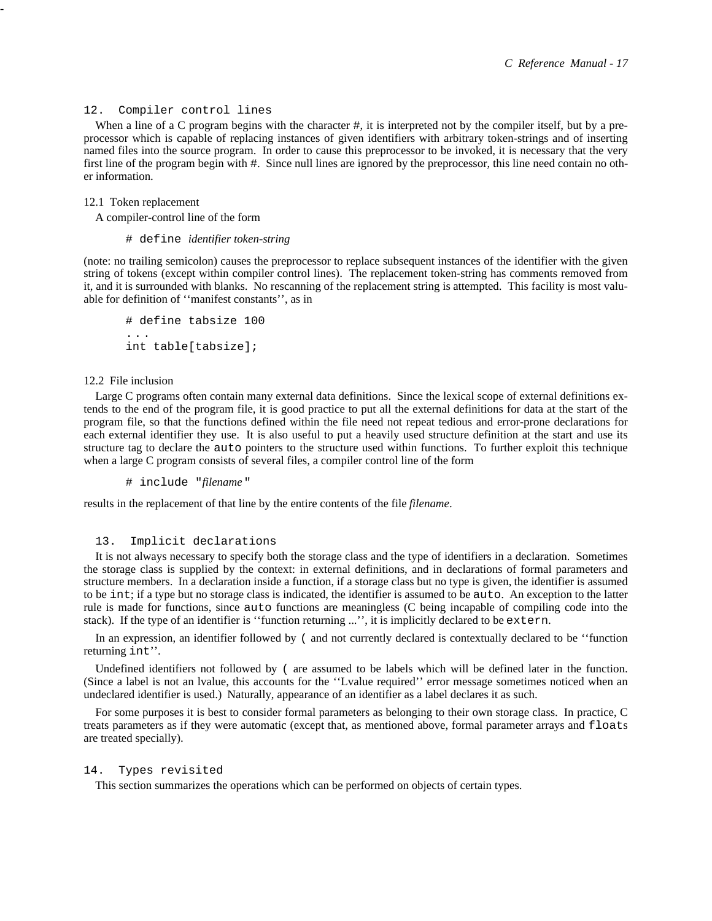## 12. Compiler control lines

When a line of a C program begins with the character #, it is interpreted not by the compiler itself, but by a preprocessor which is capable of replacing instances of given identifiers with arbitrary token-strings and of inserting named files into the source program. In order to cause this preprocessor to be invoked, it is necessary that the very first line of the program begin with #. Since null lines are ignored by the preprocessor, this line need contain no other information.

#### 12.1 Token replacement

-

A compiler-control line of the form

## # define *identifier token-string*

(note: no trailing semicolon) causes the preprocessor to replace subsequent instances of the identifier with the given string of tokens (except within compiler control lines). The replacement token-string has comments removed from it, and it is surrounded with blanks. No rescanning of the replacement string is attempted. This facility is most valuable for definition of ''manifest constants'', as in

# define tabsize 100 . . . int table[tabsize];

#### 12.2 File inclusion

Large C programs often contain many external data definitions. Since the lexical scope of external definitions extends to the end of the program file, it is good practice to put all the external definitions for data at the start of the program file, so that the functions defined within the file need not repeat tedious and error-prone declarations for each external identifier they use. It is also useful to put a heavily used structure definition at the start and use its structure tag to declare the auto pointers to the structure used within functions. To further exploit this technique when a large C program consists of several files, a compiler control line of the form

# include "*filename* "

results in the replacement of that line by the entire contents of the file *filename*.

#### 13. Implicit declarations

It is not always necessary to specify both the storage class and the type of identifiers in a declaration. Sometimes the storage class is supplied by the context: in external definitions, and in declarations of formal parameters and structure members. In a declaration inside a function, if a storage class but no type is given, the identifier is assumed to be int; if a type but no storage class is indicated, the identifier is assumed to be auto. An exception to the latter rule is made for functions, since auto functions are meaningless (C being incapable of compiling code into the stack). If the type of an identifier is ''function returning ...'', it is implicitly declared to be extern.

In an expression, an identifier followed by ( and not currently declared is contextually declared to be ''function returning int''.

Undefined identifiers not followed by ( are assumed to be labels which will be defined later in the function. (Since a label is not an lvalue, this accounts for the ''Lvalue required'' error message sometimes noticed when an undeclared identifier is used.) Naturally, appearance of an identifier as a label declares it as such.

For some purposes it is best to consider formal parameters as belonging to their own storage class. In practice, C treats parameters as if they were automatic (except that, as mentioned above, formal parameter arrays and floats are treated specially).

#### 14. Types revisited

This section summarizes the operations which can be performed on objects of certain types.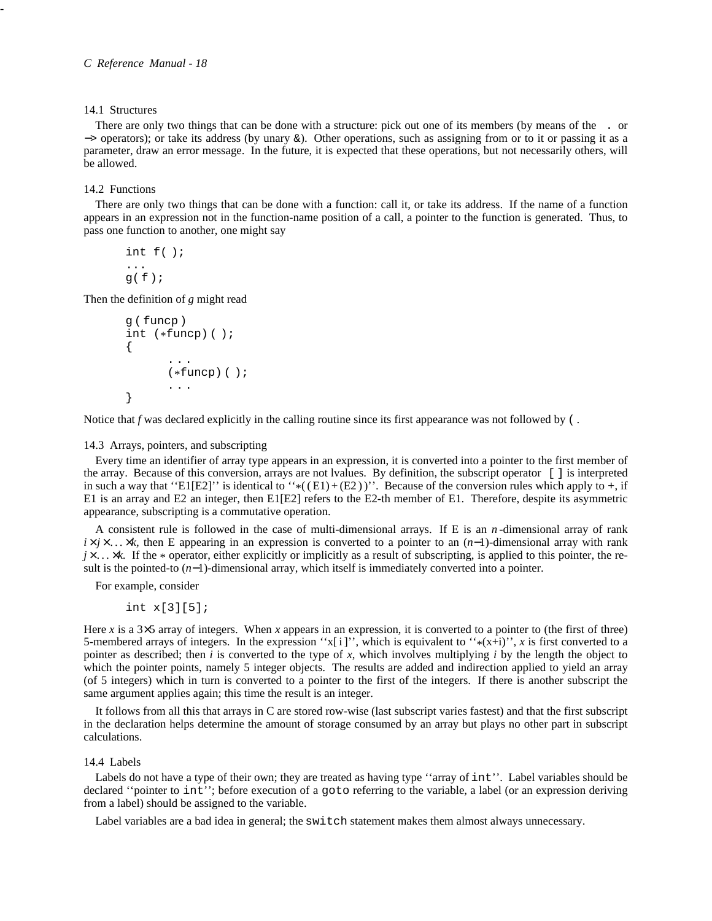### 14.1 Structures

-

There are only two things that can be done with a structure: pick out one of its members (by means of the . or −> operators); or take its address (by unary &). Other operations, such as assigning from or to it or passing it as a parameter, draw an error message. In the future, it is expected that these operations, but not necessarily others, will be allowed.

## 14.2 Functions

There are only two things that can be done with a function: call it, or take its address. If the name of a function appears in an expression not in the function-name position of a call, a pointer to the function is generated. Thus, to pass one function to another, one might say

int f( ); ...  $g(f);$ 

Then the definition of *g* might read

```
g ( funcp )
int (*funcp) ( );
{
        . . .
       (*funcp) ( );
        . . .
}
```
Notice that *f* was declared explicitly in the calling routine since its first appearance was not followed by (.

# 14.3 Arrays, pointers, and subscripting

Every time an identifier of array type appears in an expression, it is converted into a pointer to the first member of the array. Because of this conversion, arrays are not lvalues. By definition, the subscript operator [ ] is interpreted in such a way that "E1[E2]" is identical to " $*((E1)+(E2))$ ". Because of the conversion rules which apply to +, if E1 is an array and E2 an integer, then E1[E2] refers to the E2-th member of E1. Therefore, despite its asymmetric appearance, subscripting is a commutative operation.

A consistent rule is followed in the case of multi-dimensional arrays. If E is an *n* -dimensional array of rank  $i \times j \times \ldots \times k$ , then E appearing in an expression is converted to a pointer to an  $(n-1)$ -dimensional array with rank  $j \times \ldots \times k$ . If the  $*$  operator, either explicitly or implicitly as a result of subscripting, is applied to this pointer, the result is the pointed-to (*n*−1)-dimensional array, which itself is immediately converted into a pointer.

For example, consider

int x[3][5];

Here *x* is a  $3\times5$  array of integers. When *x* appears in an expression, it is converted to a pointer to (the first of three) 5-membered arrays of integers. In the expression " $x[i]$ ", which is equivalent to " $*(x+i)$ ", *x* is first converted to a pointer as described; then *i* is converted to the type of *x*, which involves multiplying *i* by the length the object to which the pointer points, namely 5 integer objects. The results are added and indirection applied to yield an array (of 5 integers) which in turn is converted to a pointer to the first of the integers. If there is another subscript the same argument applies again; this time the result is an integer.

It follows from all this that arrays in C are stored row-wise (last subscript varies fastest) and that the first subscript in the declaration helps determine the amount of storage consumed by an array but plays no other part in subscript calculations.

## 14.4 Labels

Labels do not have a type of their own; they are treated as having type ''array of int''. Label variables should be declared ''pointer to int''; before execution of a goto referring to the variable, a label (or an expression deriving from a label) should be assigned to the variable.

Label variables are a bad idea in general; the switch statement makes them almost always unnecessary.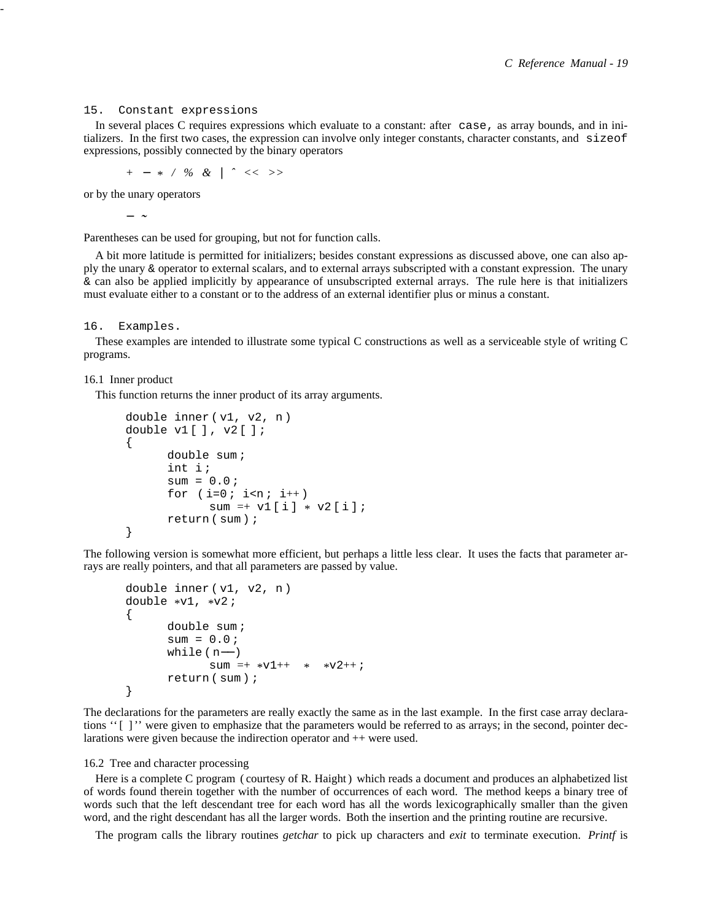#### 15. Constant expressions

In several places C requires expressions which evaluate to a constant: after case, as array bounds, and in initializers. In the first two cases, the expression can involve only integer constants, character constants, and sizeof expressions, possibly connected by the binary operators

*+* − \* */ % &* | *ˆ << >>*

or by the unary operators

− *˜*

-

Parentheses can be used for grouping, but not for function calls.

A bit more latitude is permitted for initializers; besides constant expressions as discussed above, one can also apply the unary & operator to external scalars, and to external arrays subscripted with a constant expression. The unary & can also be applied implicitly by appearance of unsubscripted external arrays. The rule here is that initializers must evaluate either to a constant or to the address of an external identifier plus or minus a constant.

## 16. Examples.

These examples are intended to illustrate some typical C constructions as well as a serviceable style of writing C programs.

#### 16.1 Inner product

This function returns the inner product of its array arguments.

```
double inner ( v1, v2, n )
double v1 [ ] , v2 [ ] ;
{
      double sum ;
      int i ;
      sum = 0.0;
      for (i=0; i \le n; i++)sum = + v1[i] * v2[i];return ( sum ) ;
}
```

```
The following version is somewhat more efficient, but perhaps a little less clear. It uses the facts that parameter ar-
rays are really pointers, and that all parameters are passed by value.
```

```
double inner ( v1, v2, n )
double *v1, *v2 ;
{
      double sum ;
      sum = 0.0;
      while (n-)
             sum =+ *v1++ * *v2++;
      return ( sum ) ;
}
```
The declarations for the parameters are really exactly the same as in the last example. In the first case array declarations ''[ ]'' were given to emphasize that the parameters would be referred to as arrays; in the second, pointer declarations were given because the indirection operator and ++ were used.

#### 16.2 Tree and character processing

Here is a complete C program ( courtesy of R. Haight) which reads a document and produces an alphabetized list of words found therein together with the number of occurrences of each word. The method keeps a binary tree of words such that the left descendant tree for each word has all the words lexicographically smaller than the given word, and the right descendant has all the larger words. Both the insertion and the printing routine are recursive.

The program calls the library routines *getchar* to pick up characters and *exit* to terminate execution. *Printf* is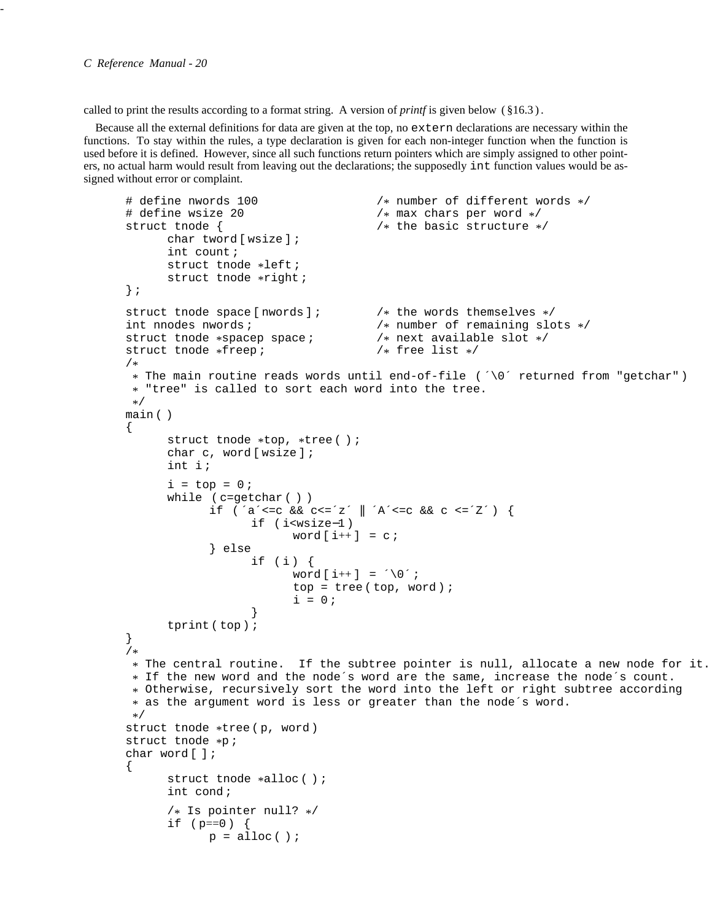called to print the results according to a format string. A version of *printf* is given below ( §16.3 ).

Because all the external definitions for data are given at the top, no extern declarations are necessary within the functions. To stay within the rules, a type declaration is given for each non-integer function when the function is used before it is defined. However, since all such functions return pointers which are simply assigned to other pointers, no actual harm would result from leaving out the declarations; the supposedly int function values would be assigned without error or complaint.

```
# define nwords 100 \# number of different words */<br># define wsize 20 \# max chars per word */
# define wsize 20 \rightarrow /* max chars per word */<br>struct tnode { \rightarrow /* the basic structure *
                                                                  /* the basic structure */char tword [ wsize ] ;
           int count ;
           struct tnode *left ;
           struct tnode *right;
} ;
struct tnode space [nwords ]; \begin{array}{ccc} \n  & \text{if } \\
 * & \text{if } \\
 * & \text{where } \\
 * & \text{where } \\
 * & \text{where } \\
 * & \text{where } \\
 * & \text{where } \\
 * & \text{where } \\
 * & \text{where } \\
 * & \text{where } \\
 * & \text{where } \\
 * & \text{where } \\
 * & \text{where } \\
 * & \text{where } \\
 * & \text{where } \\
 * & \text{where } \\
 * & \text{where } \\
 * & \text{where } \\
 * & \text{where } \\
 * & \text{where } \\
 * & \text{where } \\
 * & \text{where } \\
 * & \text{where/* number of remaining slots */<br>/* next available slot */
struct tnode *spacep space; <br>struct tnode *freep; <br>/* free list */
struct tnode *freep;
/*
 * The main routine reads words until end-of-file ( ´\0´ returned from "getchar" )
 * "tree" is called to sort each word into the tree.
 */
main ( )
{
           struct tnode *top, *tree ( ) ;
           char c, word [ wsize ] ;
           int i ;
           i = top = 0;while ( c=getchar ( ) )
                      \begin{array}{ccc} \texttt{if} & (\texttt{``a'} < = c \texttt{ && c} < = \texttt{``z'} \texttt{)} \end{array} \begin{array}{ccc} \texttt{if} & \texttt{``A'} < = c \texttt{ && c} \texttt{ < = \texttt{``Z'} \texttt{)} \end{array} \begin{array}{ccc} \texttt{if} & \texttt{if} & \texttt{if} & \texttt{if} & \texttt{if} \texttt{if} & \texttt{if} \texttt{if} \texttt{if} \texttt{if} \texttt{if} \texttt{if} \texttt{if} \textif ( i<wsize−1 )
                                            word [i++] = c;
                      } else
                                 if (i) {
                                            word [i++] = '0';
                                            top = tree (top, word) ;
                                            i = 0;}
           tprint ( top ) ;
}
/*
 * The central routine. If the subtree pointer is null, allocate a new node for it.
 * If the new word and the node´s word are the same, increase the node´s count.
 * Otherwise, recursively sort the word into the left or right subtree according
 * as the argument word is less or greater than the node´s word.
 */
struct tnode *tree ( p, word )
struct tnode *p ;
char word [ ] ;
{
           struct tnode *alloc ( ) ;
           int cond ;
           /* Is pointer null? */
           if (p == 0) {
                      p =alloc();
```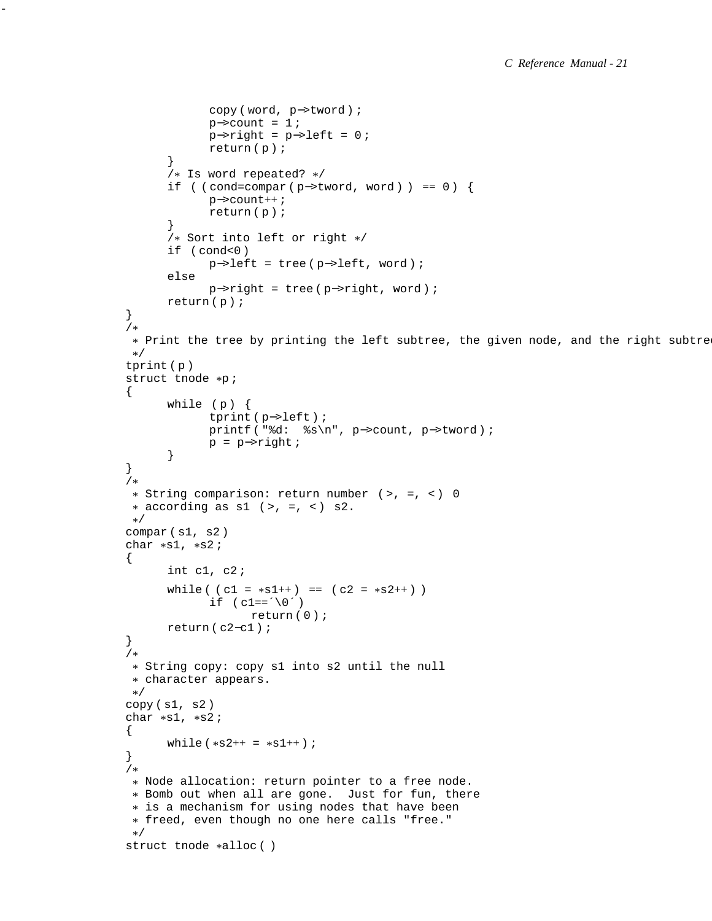```
copy ( word, p−>tword ) ;
             p \rightarrow count = 1;
             p \rightarrowright = p \rightarrowleft = 0;
             return ( p ) ;
      }
      /* Is word repeated? */
      if ( ( cond=compar ( p->tword, word ) ) == 0 ) {
             p−>count++ ;
             return ( p ) ;
      }
      /* Sort into left or right */
      if (cond<0)p−>left = tree ( p−>left, word ) ;
      else
             p−>right = tree ( p−>right, word ) ;
      return ( p ) ;
}
/*
* Print the tree by printing the left subtree, the given node, and the right subtre
*/
tprint ( p )
struct tnode *p ;
{
      while (p) {
             tprint ( p−>left ) ;
             printf ( "%d: %s\n", p−>count, p−>tword ) ;
             p = p \rightarrow right;
      }
}
/*
* String comparison: return number ( >, =, < ) 0
* according as sl (>, =, <) sl.
*/
compar(s1, s2)char *sl, *sl;
\left\{ \right.int c1, c2;while ( (c1 = *s1++) == (c2 = *s2++) )
             if (c1==')0')return ( 0 ) ;
      return ( c2−c1 ) ;
}
/*
* String copy: copy s1 into s2 until the null
* character appears.
*/
copy ( s1, s2 )
char *sl, *sl;
{
      while (*s2++ = *s1++);
}
/*
* Node allocation: return pointer to a free node.
* Bomb out when all are gone. Just for fun, there
* is a mechanism for using nodes that have been
* freed, even though no one here calls "free."
*/
struct tnode *alloc ( )
```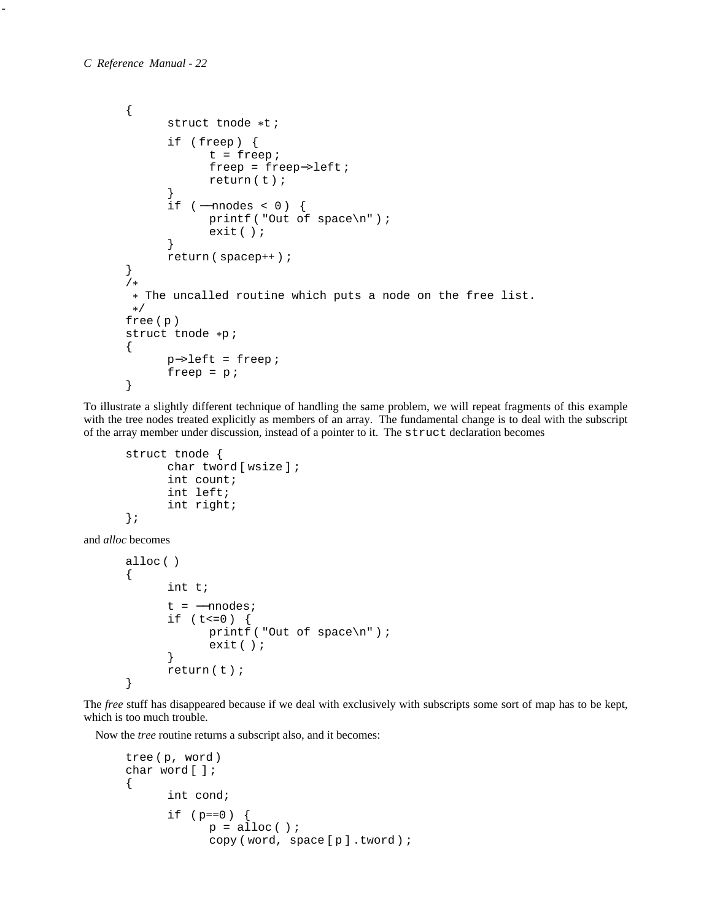```
{
      struct tnode *t ;
      if ( freep ) {
             t = freep;
             freep = freep−>left ;
             return ( t ) ;
      }
      if (-nnodes < 0) {
             printf ( "Out of space\n" ) ;
             exit() ;
      }
      return ( spacep++ ) ;
}
/*
* The uncalled routine which puts a node on the free list.
*/
free ( p )
struct tnode *p ;
{
      p−>left = freep ;
      freep = pi;
}
```
To illustrate a slightly different technique of handling the same problem, we will repeat fragments of this example with the tree nodes treated explicitly as members of an array. The fundamental change is to deal with the subscript of the array member under discussion, instead of a pointer to it. The struct declaration becomes

```
struct tnode {
      char tword [ wsize ] ;
      int count;
      int left;
      int right;
};
```
and *alloc* becomes

```
alloc ( )
{
      int t;
      t = ––nnodes;
      if (t < = 0) {
             printf ( "Out of space\n" ) ;
             exit()}
      return ( t ) ;
}
```
The *free* stuff has disappeared because if we deal with exclusively with subscripts some sort of map has to be kept, which is too much trouble.

Now the *tree* routine returns a subscript also, and it becomes:

```
tree ( p, word )
char word [ ] ;
{
      int cond;
       if (p == 0) {
             p =alloc();
             copy ( word, space [ p ] .tword ) ;
```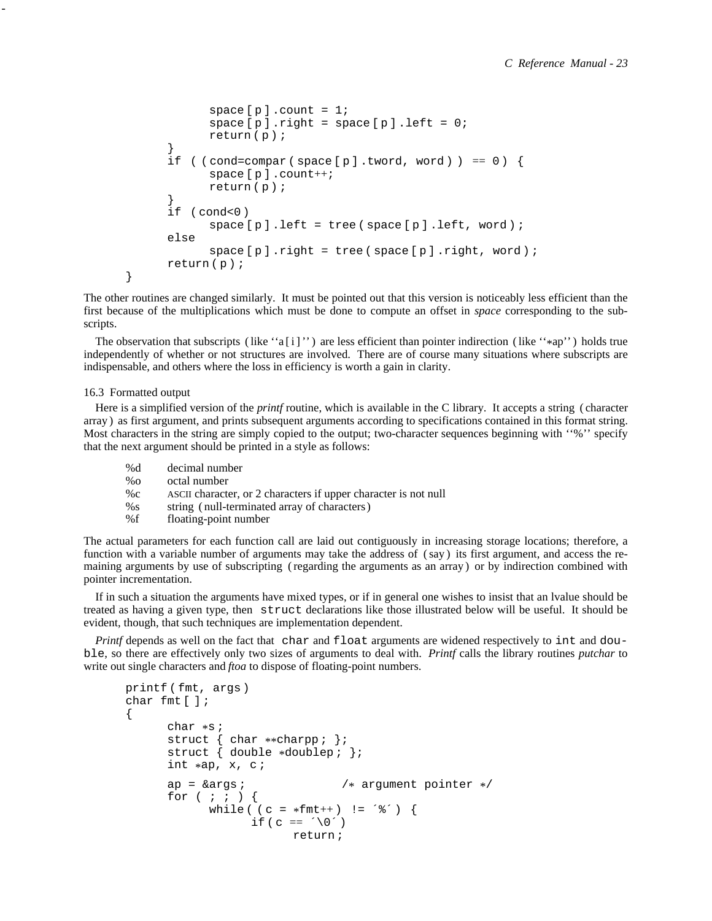```
space [ p ].count = 1;
       space [ p ] .right = space [ p ] .left = 0;return ( p ) ;
}
if ( \text{cond=compar} ( \text{space} [ p ] .tword, word ) ) = 0 ) {
       space [p].count++;
       return ( p ) ;
}
if (cond<0)space [ p ].left = tree (space [p].left, word);
else
       space [ p ] . right = tree ( space [ p ] . right, word );
return ( p ) ;
```
The other routines are changed similarly. It must be pointed out that this version is noticeably less efficient than the first because of the multiplications which must be done to compute an offset in *space* corresponding to the subscripts.

The observation that subscripts (like "a[i]") are less efficient than pointer indirection (like "\*ap") holds true independently of whether or not structures are involved. There are of course many situations where subscripts are indispensable, and others where the loss in efficiency is worth a gain in clarity.

## 16.3 Formatted output

}

-

Here is a simplified version of the *printf* routine, which is available in the C library. It accepts a string ( character array ) as first argument, and prints subsequent arguments according to specifications contained in this format string. Most characters in the string are simply copied to the output; two-character sequences beginning with ''%'' specify that the next argument should be printed in a style as follows:

| % $d$ | decimal number                                                  |
|-------|-----------------------------------------------------------------|
| %     | octal number                                                    |
| %c    | ASCII character, or 2 characters if upper character is not null |
| %s    | string (null-terminated array of characters)                    |
| % $f$ | floating-point number                                           |

The actual parameters for each function call are laid out contiguously in increasing storage locations; therefore, a function with a variable number of arguments may take the address of (say ) its first argument, and access the remaining arguments by use of subscripting (regarding the arguments as an array ) or by indirection combined with pointer incrementation.

If in such a situation the arguments have mixed types, or if in general one wishes to insist that an lvalue should be treated as having a given type, then struct declarations like those illustrated below will be useful. It should be evident, though, that such techniques are implementation dependent.

*Printf* depends as well on the fact that char and float arguments are widened respectively to int and double, so there are effectively only two sizes of arguments to deal with. *Printf* calls the library routines *putchar* to write out single characters and *ftoa* to dispose of floating-point numbers.

```
printf ( fmt, args )
char fmt [ ] ;
{
      char *s ;
      struct \{char*{charpp} : \}struct { double *doublep ; };
      int *ap, x, c;ap = \text{2} \arcsin i /* argument pointer */
      for ( ; ; ) {
             while ( (c = *fmt++) != ´%´) {
                    if ( c == \hat{ }}0^{\hat{ }})
                           return ;
```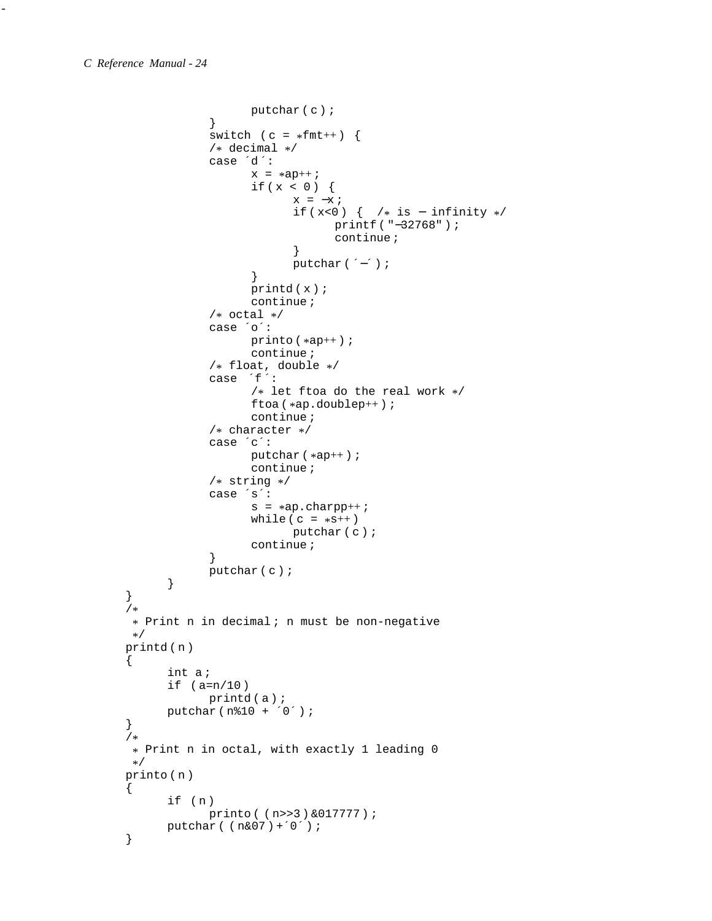}

-

```
putchar ( c ) ;
             }
             switch (c = *fmt++) {
             /* decimal */
             case ´d ´:
                   x = *ap++;if (x < 0) {
                          x = -x ;
                          if (x < 0) { /* is - infinity */
                                 printf ( "−32768" ) ;
                                 continue ;
                           }
                          putchar (-);
                    }
                    printd ( x ) ;
                    continue ;
             /* octal */case ´o´:
                   printo ( *ap++ ) ;
                   continue ;
             /* float, double */
             case ´f ´:
                    /* let ftoa do the real work */
                    ftoa ( *ap.doublep++ ) ;
                    continue ;
             /* character */
             case ´c´:
                   putchar ( *ap++ ) ;
                   continue ;
             /* string */
             case ´s´:
                    s = *ap.charAtpp++;while (c = *s++)
                          putchar ( c ) ;
                    continue ;
             }
             putchar ( c ) ;
       }
}
/*
 * Print n in decimal ; n must be non-negative
 */
printd ( n )
{
      int a ;
      if (a=n/10)printd ( a ) ;
      putchar ( n%10 + ´0´ ) ;
}
/*
* Print n in octal, with exactly 1 leading 0
*/
printo ( n )
{
      if ( n )
             printo ( ( n>>3 ) &017777 ) ;
      putchar ( ( n&07 ) +´0´ ) ;
```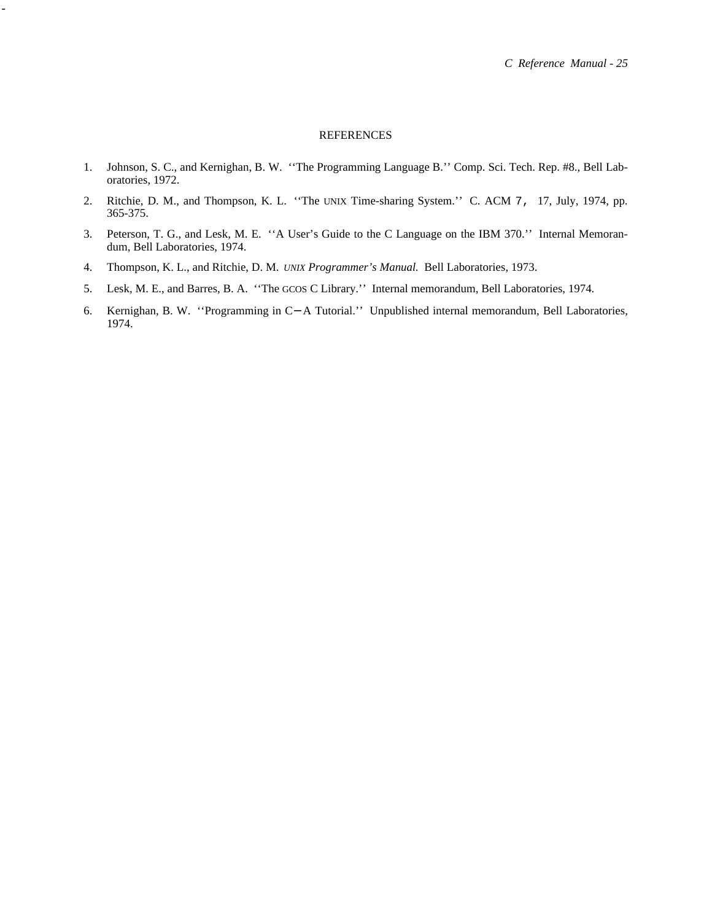## REFERENCES

- 1. Johnson, S. C., and Kernighan, B. W. ''The Programming Language B.'' Comp. Sci. Tech. Rep. #8., Bell Laboratories, 1972.
- 2. Ritchie, D. M., and Thompson, K. L. ''The UNIX Time-sharing System.'' C. ACM 7, 17, July, 1974, pp. 365-375.
- 3. Peterson, T. G., and Lesk, M. E. ''A User's Guide to the C Language on the IBM 370.'' Internal Memorandum, Bell Laboratories, 1974.
- 4. Thompson, K. L., and Ritchie, D. M. *UNIX Programmer's Manual.* Bell Laboratories, 1973.

-

- 5. Lesk, M. E., and Barres, B. A. ''The GCOS C Library.'' Internal memorandum, Bell Laboratories, 1974.
- 6. Kernighan, B. W. ''Programming in C− A Tutorial.'' Unpublished internal memorandum, Bell Laboratories, 1974.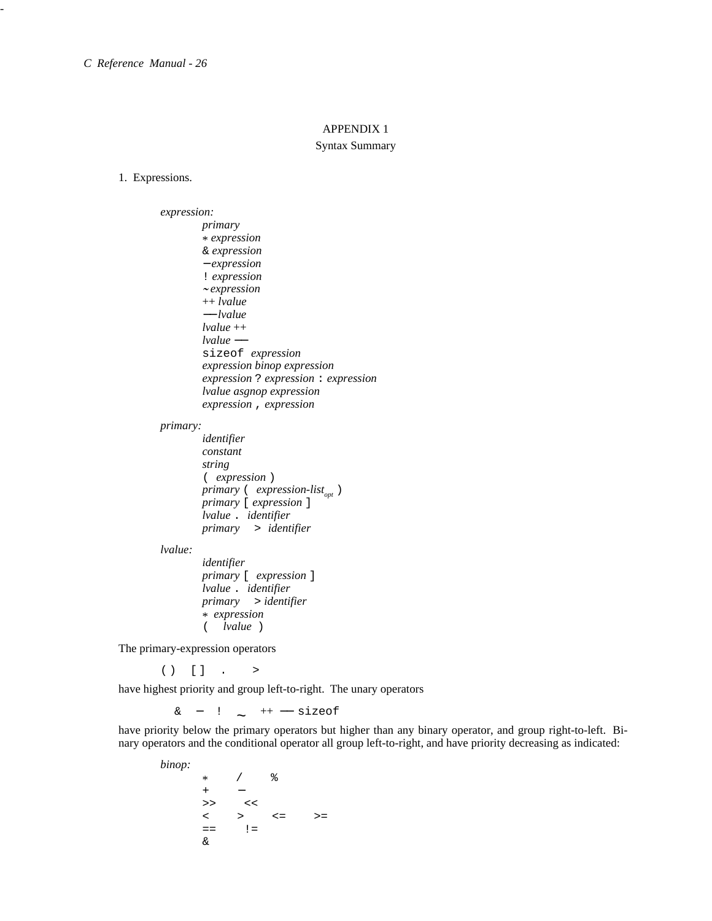# APPENDIX 1

# Syntax Summary

## 1. Expressions.

# *expression:*

*primary* \* *expression* & *expression* − *expression* ! *expression ˜ expression* ++ *lvalue* −− *lvalue lvalue* ++ *lvalue* −− sizeof *expression expression binop expression expression* ? *expression* : *expression lvalue asgnop expression expression* , *expression*

#### *primary:*

*identifier constant string* ( *expression* ) *primary* ( *expression-listopt* ) *primary* [ *expression* ] *lvalue* . *identifier primary* > *identifier*

# *lvalue:*

*identifier primary* [ *expression* ] *lvalue* . *identifier primary* > *identifier* \* *expression* ( *lvalue* )

The primary-expression operators

 $( ) \qquad [ \qquad ] \qquad , \qquad \quad >$ 

have highest priority and group left-to-right. The unary operators

 $\& - \quad ! \quad \sim \quad ++ - \text{ size of }$ 

have priority below the primary operators but higher than any binary operator, and group right-to-left. Binary operators and the conditional operator all group left-to-right, and have priority decreasing as indicated:

*binop:* \* / % + −  $\begin{array}{ccc} >> & << \\ < & > \\ < & > \end{array}$  $>$  <= >=  $==$   $!=$ &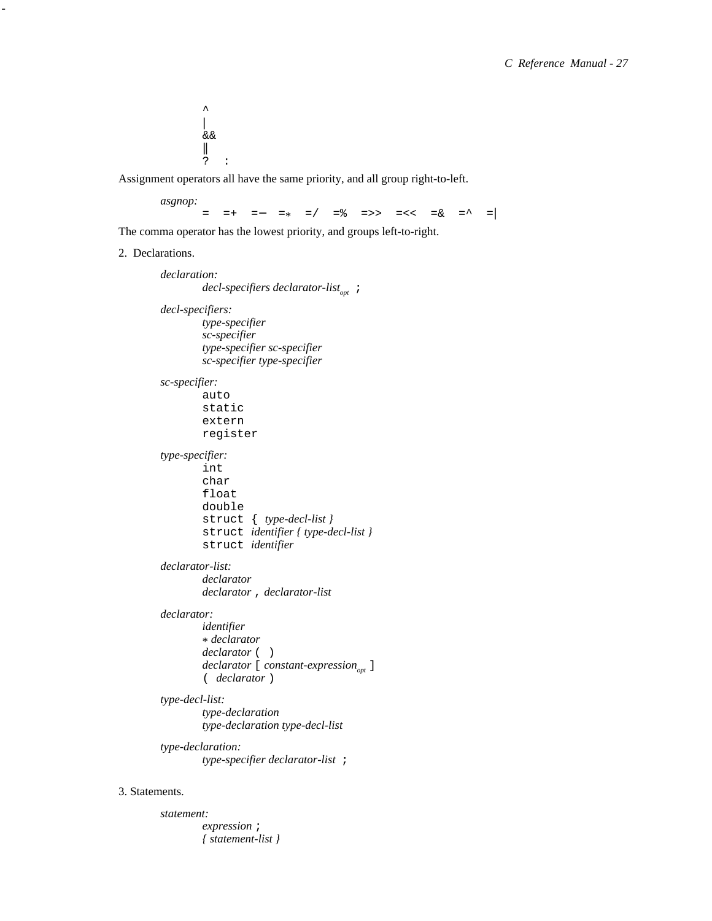$\lambda$  $\overline{1}$ | && || ? :

Assignment operators all have the same priority, and all group right-to-left.

*asgnop:*

= =+ =− =\* =/ =% =>> =<< =& =^ =|

The comma operator has the lowest priority, and groups left-to-right.

2. Declarations.

-

*declaration: decl-specifiers declarator-listopt* ; *decl-specifiers: type-specifier sc-specifier type-specifier sc-specifier sc-specifier type-specifier sc-specifier:* auto static extern register *type-specifier:* int char float double struct { *type-decl-list }* struct *identifier { type-decl-list }* struct *identifier declarator-list: declarator declarator* , *declarator-list declarator: identifier* \* *declarator declarator* ( ) *declarator* [ *constant-expressionopt* ] ( *declarator* ) *type-decl-list: type-declaration type-declaration type-decl-list type-declaration: type-specifier declarator-list* ; 3. Statements. *statement:*

> *expression* ; *{ statement-list }*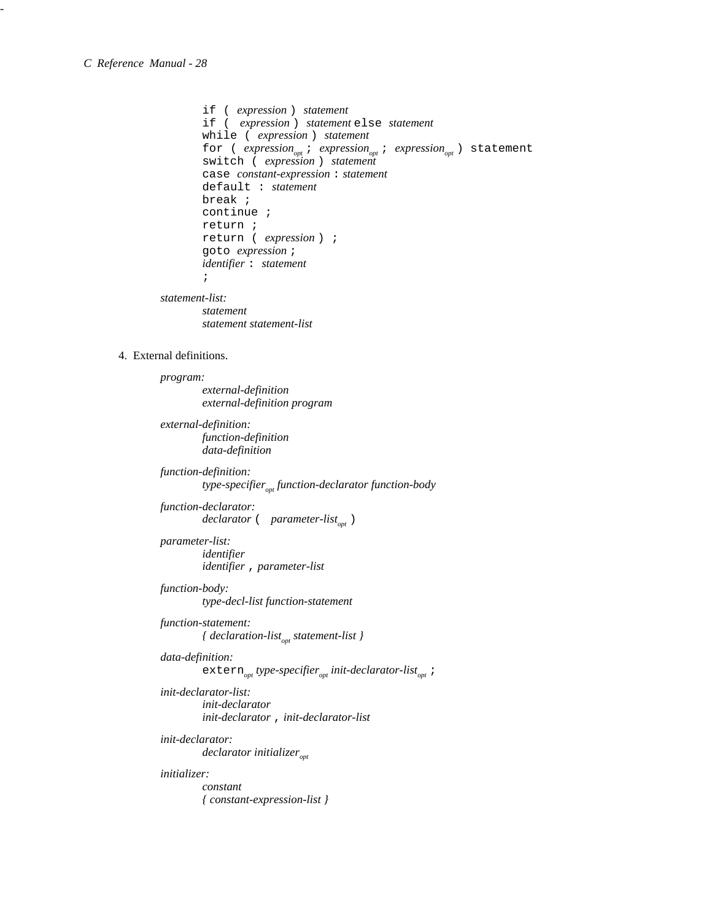```
if ( expression ) statement
                 if ( expression ) statement else statement
                 while ( expression ) statement
                 for ( expression<sub>opt</sub> ; expression<sub>opt</sub> ; expression<sub>opt</sub> ) statement
                 switch ( expression ) statement
                 case constant-expression : statement
                 default : statement
                 break ;
                 continue ;
                 return ;
                 return ( expression ) ;
                 goto expression ;
                 identifier : statement
                  ;
        statement-list:
                 statement
                 statement statement-list
4. External definitions.
        program:
                 external-definition
                 external-definition program
        external-definition:
                 function-definition
                 data-definition
        function-definition:
                 type-specifieropt function-declarator function-body
        function-declarator:
                 declarator ( parameter-listopt )
        parameter-list:
                 identifier
                 identifier , parameter-list
        function-body:
                 type-decl-list function-statement
        function-statement:
                 { declaration-listopt statement-list }
        data-definition:
                 externopt type-specifieropt init-declarator-listopt ;
        init-declarator-list:
                 init-declarator
                 init-declarator , init-declarator-list
        init-declarator:
                 declarator initializeropt
        initializer:
                 constant
```

```
{ constant-expression-list }
```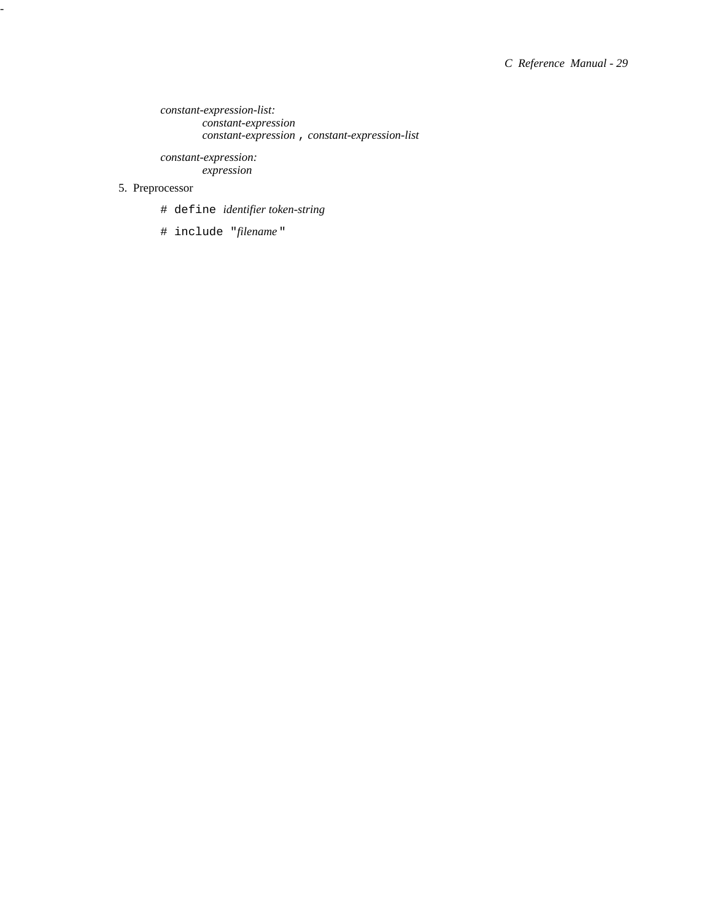*constant-expression-list: constant-expression constant-expression* , *constant-expression-list*

*constant-expression: expression*

# 5. Preprocessor

-

- # define *identifier token-string*
- # include "*filename* "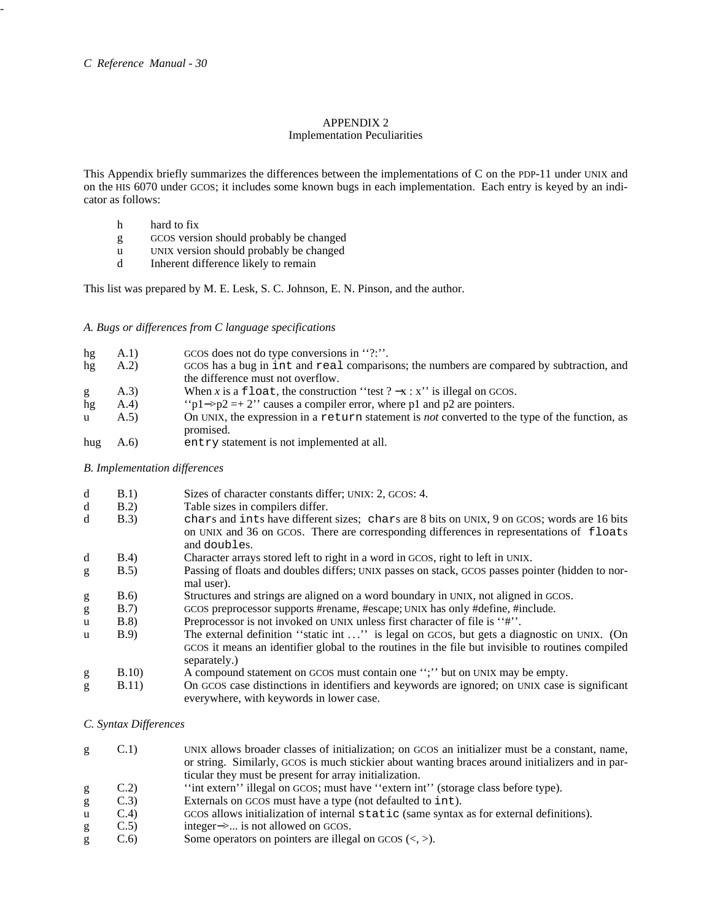# APPENDIX 2

# Implementation Peculiarities

This Appendix briefly summarizes the differences between the implementations of C on the PDP-11 under UNIX and on the HIS 6070 under GCOS; it includes some known bugs in each implementation. Each entry is keyed by an indicator as follows:

- h hard to fix
- g GCOS version should probably be changed
- u UNIX version should probably be changed
- d Inherent difference likely to remain

This list was prepared by M. E. Lesk, S. C. Johnson, E. N. Pinson, and the author.

# *A. Bugs or differences from C language specifications*

| hg                 | (A.1) | GCOS does not do type conversions in "?:".                                                                         |
|--------------------|-------|--------------------------------------------------------------------------------------------------------------------|
| $h_{\mathfrak{L}}$ | (A.2) | GCOS has a bug in int and real comparisons; the numbers are compared by subtraction, and                           |
|                    |       | the difference must not overflow.                                                                                  |
| g                  | A.3)  | When x is a float, the construction "test $? -x : x"$ is illegal on GCOS.                                          |
| hg                 | (A.4) | " $p1 \rightarrow p2 = +2$ " causes a compiler error, where p1 and p2 are pointers.                                |
| u                  | A.5)  | On UNIX, the expression in a return statement is <i>not</i> converted to the type of the function, as<br>promised. |
| hug                | (A.6) | entry statement is not implemented at all.                                                                         |

# *B. Implementation differences*

| d | B.1)         | Sizes of character constants differ; UNIX: 2, GCOS: 4.                                                                                                                                                          |
|---|--------------|-----------------------------------------------------------------------------------------------------------------------------------------------------------------------------------------------------------------|
| d | B.2)         | Table sizes in compilers differ.                                                                                                                                                                                |
| d | <b>B.3</b> ) | chars and ints have different sizes; chars are 8 bits on UNIX, 9 on GCOS; words are 16 bits<br>on UNIX and 36 on GCOS. There are corresponding differences in representations of floats<br>and doubles.         |
| d | <b>B.4</b> ) | Character arrays stored left to right in a word in GCOS, right to left in UNIX.                                                                                                                                 |
| g | B.5)         | Passing of floats and doubles differs; UNIX passes on stack, GCOS passes pointer (hidden to nor-<br>mal user).                                                                                                  |
| g | <b>B.6</b> ) | Structures and strings are aligned on a word boundary in UNIX, not aligned in GCOS.                                                                                                                             |
| g | B.7)         | GCOS preprocessor supports #rename, #escape; UNIX has only #define, #include.                                                                                                                                   |
| u | B.8          | Preprocessor is not invoked on UNIX unless first character of file is "#".                                                                                                                                      |
| u | <b>B.9</b> ) | The external definition "static int " is legal on GCOS, but gets a diagnostic on UNIX. (On<br>GCOS it means an identifier global to the routines in the file but invisible to routines compiled<br>separately.) |
| g | B.10         | A compound statement on GCOS must contain one ";" but on UNIX may be empty.                                                                                                                                     |
| g | B.11)        | On GCOS case distinctions in identifiers and keywords are ignored; on UNIX case is significant<br>everywhere, with keywords in lower case.                                                                      |

# *C. Syntax Differences*

| g | C.1 | UNIX allows broader classes of initialization; on GCOS an initializer must be a constant, name,  |
|---|-----|--------------------------------------------------------------------------------------------------|
|   |     | or string. Similarly, GCOS is much stickier about wanting braces around initializers and in par- |
|   |     | ticular they must be present for array initialization.                                           |
| g | C.2 | "int extern" illegal on GCOS; must have "extern int" (storage class before type).                |
|   | C.3 | Externals on GCOS must have a type (not defaulted to int).                                       |
|   |     | $\alpha$                                                                                         |

- u C.4) GCOS allows initialization of internal static (same syntax as for external definitions).
- g C.5) integer−>... is not allowed on GCOS.<br>g C.6) Some operators on pointers are illeg
- g  $C.6$ ) Some operators on pointers are illegal on  $G\text{cos}(\langle, \rangle)$ .